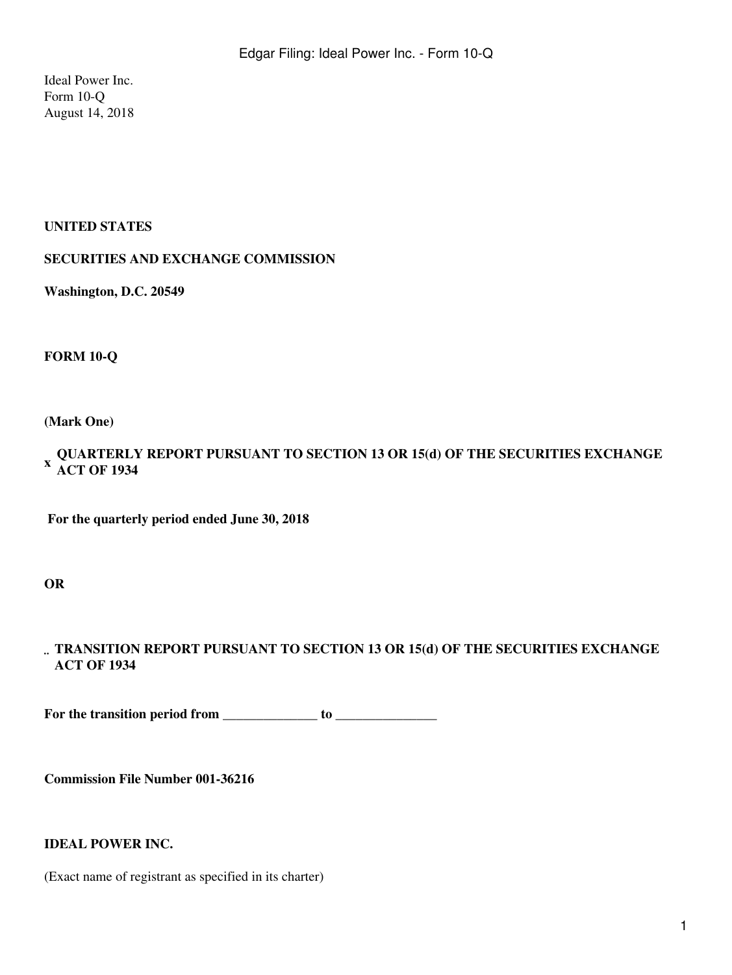Ideal Power Inc. Form 10-Q August 14, 2018

## **UNITED STATES**

## **SECURITIES AND EXCHANGE COMMISSION**

**Washington, D.C. 20549**

**FORM 10-Q**

**(Mark One)**

**QUARTERLY REPORT PURSUANT TO SECTION 13 OR 15(d) OF THE SECURITIES EXCHANGE ACT OF 1934**

**For the quarterly period ended June 30, 2018**

**OR**

## .. TRANSITION REPORT PURSUANT TO SECTION 13 OR 15(d) OF THE SECURITIES EXCHANGE<br>A CT OF 1934 **ACT OF 1934**

**For the transition period from \_\_\_\_\_\_\_\_\_\_\_\_\_\_ to \_\_\_\_\_\_\_\_\_\_\_\_\_\_\_**

**Commission File Number 001-36216**

## **IDEAL POWER INC.**

(Exact name of registrant as specified in its charter)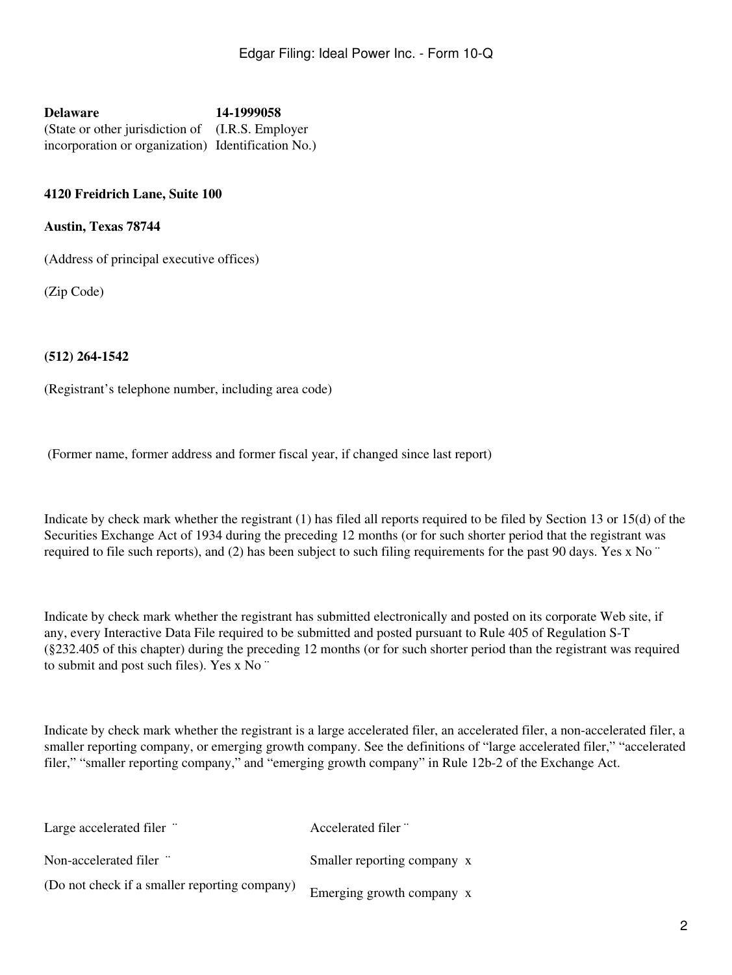**Delaware 14-1999058** (State or other jurisdiction of (I.R.S. Employer incorporation or organization) Identification No.)

#### **4120 Freidrich Lane, Suite 100**

**Austin, Texas 78744**

(Address of principal executive offices)

(Zip Code)

#### **(512) 264-1542**

(Registrant's telephone number, including area code)

(Former name, former address and former fiscal year, if changed since last report)

Indicate by check mark whether the registrant (1) has filed all reports required to be filed by Section 13 or 15(d) of the Securities Exchange Act of 1934 during the preceding 12 months (or for such shorter period that the registrant was required to file such reports), and (2) has been subject to such filing requirements for the past 90 days. Yes x No  $\degree$ 

Indicate by check mark whether the registrant has submitted electronically and posted on its corporate Web site, if any, every Interactive Data File required to be submitted and posted pursuant to Rule 405 of Regulation S-T (§232.405 of this chapter) during the preceding 12 months (or for such shorter period than the registrant was required to submit and post such files). Yes x No ¨

Indicate by check mark whether the registrant is a large accelerated filer, an accelerated filer, a non-accelerated filer, a smaller reporting company, or emerging growth company. See the definitions of "large accelerated filer," "accelerated filer," "smaller reporting company," and "emerging growth company" in Rule 12b-2 of the Exchange Act.

| Large accelerated filer "                     | Accelerated filer "         |
|-----------------------------------------------|-----------------------------|
| Non-accelerated filer "                       | Smaller reporting company x |
| (Do not check if a smaller reporting company) | Emerging growth company x   |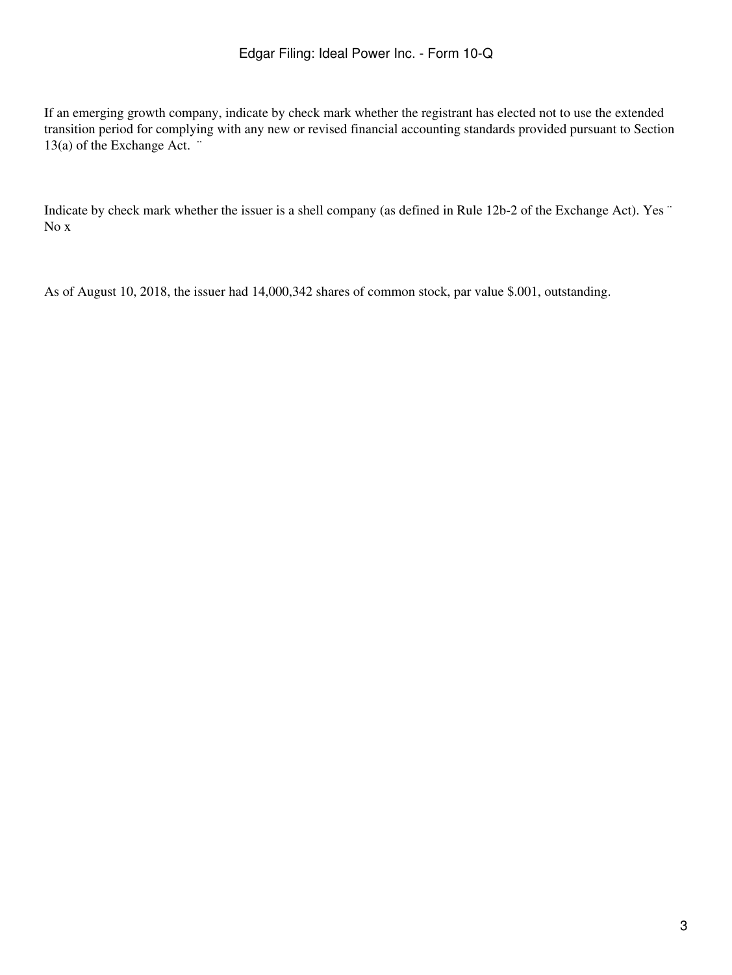If an emerging growth company, indicate by check mark whether the registrant has elected not to use the extended transition period for complying with any new or revised financial accounting standards provided pursuant to Section 13(a) of the Exchange Act. "

Indicate by check mark whether the issuer is a shell company (as defined in Rule 12b-2 of the Exchange Act). Yes " No x

As of August 10, 2018, the issuer had 14,000,342 shares of common stock, par value \$.001, outstanding.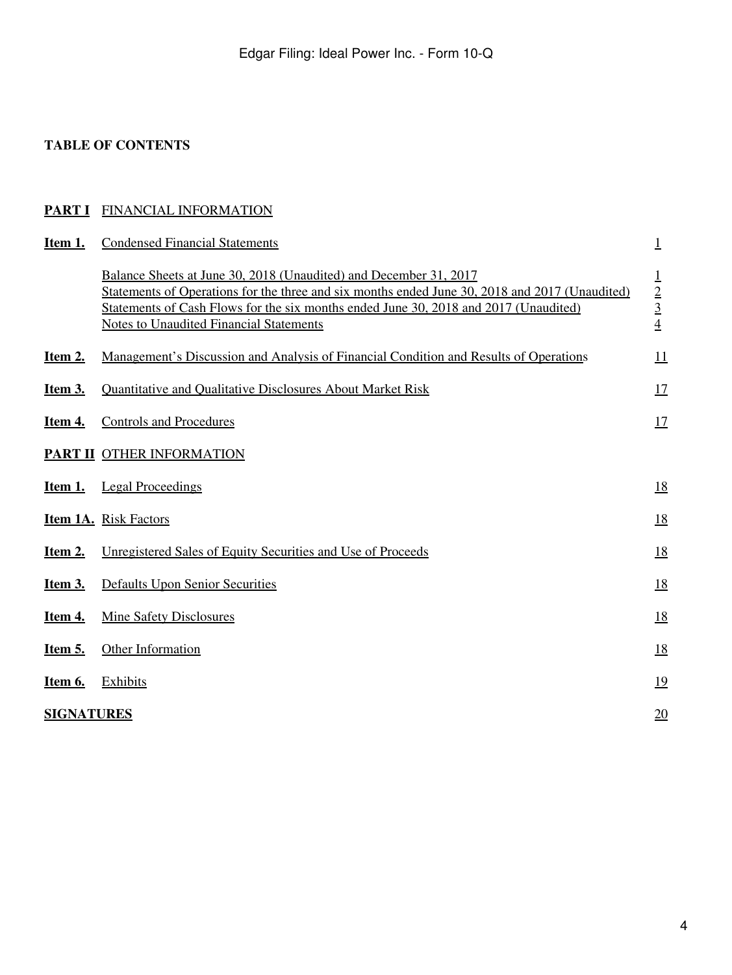## **TABLE OF CONTENTS**

## **[PART I](#page-4-0)** [FINANCIAL INFORMATION](#page-4-0)

| Item 1.           | <b>Condensed Financial Statements</b>                                                                                                                                                                                                                                                                         | $\perp$                     |
|-------------------|---------------------------------------------------------------------------------------------------------------------------------------------------------------------------------------------------------------------------------------------------------------------------------------------------------------|-----------------------------|
|                   | Balance Sheets at June 30, 2018 (Unaudited) and December 31, 2017<br>Statements of Operations for the three and six months ended June 30, 2018 and 2017 (Unaudited)<br>Statements of Cash Flows for the six months ended June 30, 2018 and 2017 (Unaudited)<br><b>Notes to Unaudited Financial Statements</b> | $\frac{1}{2}$ $\frac{3}{4}$ |
| <u>Item 2.</u>    | Management's Discussion and Analysis of Financial Condition and Results of Operations                                                                                                                                                                                                                         | 11                          |
| Item 3.           | <b>Quantitative and Qualitative Disclosures About Market Risk</b>                                                                                                                                                                                                                                             | 17                          |
| <u>Item 4.</u>    | <b>Controls and Procedures</b>                                                                                                                                                                                                                                                                                | <u>17</u>                   |
|                   | <b>PART II OTHER INFORMATION</b>                                                                                                                                                                                                                                                                              |                             |
| Item 1.           | <b>Legal Proceedings</b>                                                                                                                                                                                                                                                                                      | <u>18</u>                   |
|                   | <b>Item 1A.</b> Risk Factors                                                                                                                                                                                                                                                                                  | <u>18</u>                   |
| Item 2.           | Unregistered Sales of Equity Securities and Use of Proceeds                                                                                                                                                                                                                                                   | <u>18</u>                   |
| <u>Item 3.</u>    | <b>Defaults Upon Senior Securities</b>                                                                                                                                                                                                                                                                        | <u>18</u>                   |
| <u>Item 4.</u>    | <b>Mine Safety Disclosures</b>                                                                                                                                                                                                                                                                                | <u>18</u>                   |
| Item 5.           | Other Information                                                                                                                                                                                                                                                                                             | <u>18</u>                   |
| Item 6.           | Exhibits                                                                                                                                                                                                                                                                                                      | <u>19</u>                   |
| <b>SIGNATURES</b> |                                                                                                                                                                                                                                                                                                               | 20                          |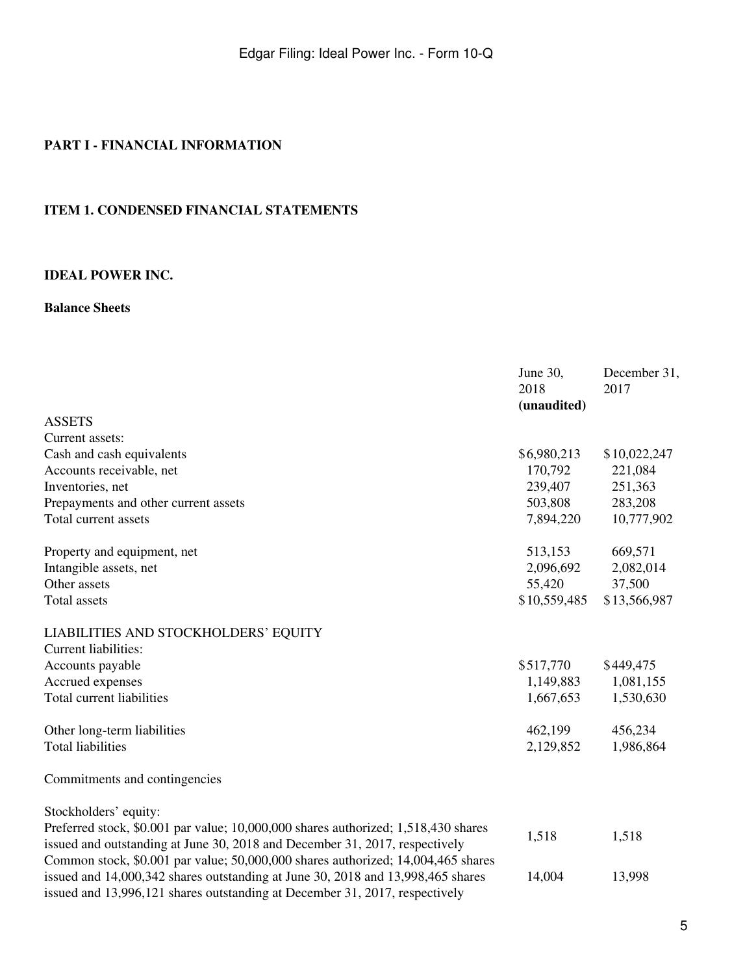## <span id="page-4-0"></span>**PART I - FINANCIAL INFORMATION**

## <span id="page-4-1"></span>**ITEM 1. CONDENSED FINANCIAL STATEMENTS**

#### **IDEAL POWER INC.**

## <span id="page-4-2"></span>**Balance Sheets**

|                                                                                    | June 30,<br>2018<br>(unaudited) | December 31,<br>2017 |
|------------------------------------------------------------------------------------|---------------------------------|----------------------|
| <b>ASSETS</b>                                                                      |                                 |                      |
| Current assets:                                                                    |                                 |                      |
| Cash and cash equivalents                                                          | \$6,980,213                     | \$10,022,247         |
| Accounts receivable, net                                                           | 170,792                         | 221,084              |
| Inventories, net                                                                   | 239,407                         | 251,363              |
| Prepayments and other current assets                                               | 503,808                         | 283,208              |
| Total current assets                                                               | 7,894,220                       | 10,777,902           |
| Property and equipment, net                                                        | 513,153                         | 669,571              |
| Intangible assets, net                                                             | 2,096,692                       | 2,082,014            |
| Other assets                                                                       | 55,420                          | 37,500               |
| Total assets                                                                       | \$10,559,485                    | \$13,566,987         |
| LIABILITIES AND STOCKHOLDERS' EQUITY                                               |                                 |                      |
| Current liabilities:                                                               |                                 |                      |
| Accounts payable                                                                   | \$517,770                       | \$449,475            |
| Accrued expenses                                                                   | 1,149,883                       | 1,081,155            |
| Total current liabilities                                                          | 1,667,653                       | 1,530,630            |
| Other long-term liabilities                                                        | 462,199                         | 456,234              |
| <b>Total liabilities</b>                                                           | 2,129,852                       | 1,986,864            |
| Commitments and contingencies                                                      |                                 |                      |
| Stockholders' equity:                                                              |                                 |                      |
| Preferred stock, \$0.001 par value; 10,000,000 shares authorized; 1,518,430 shares | 1,518                           | 1,518                |
| issued and outstanding at June 30, 2018 and December 31, 2017, respectively        |                                 |                      |
| Common stock, \$0.001 par value; 50,000,000 shares authorized; 14,004,465 shares   |                                 |                      |
| issued and 14,000,342 shares outstanding at June 30, 2018 and 13,998,465 shares    | 14,004                          | 13,998               |
| issued and 13,996,121 shares outstanding at December 31, 2017, respectively        |                                 |                      |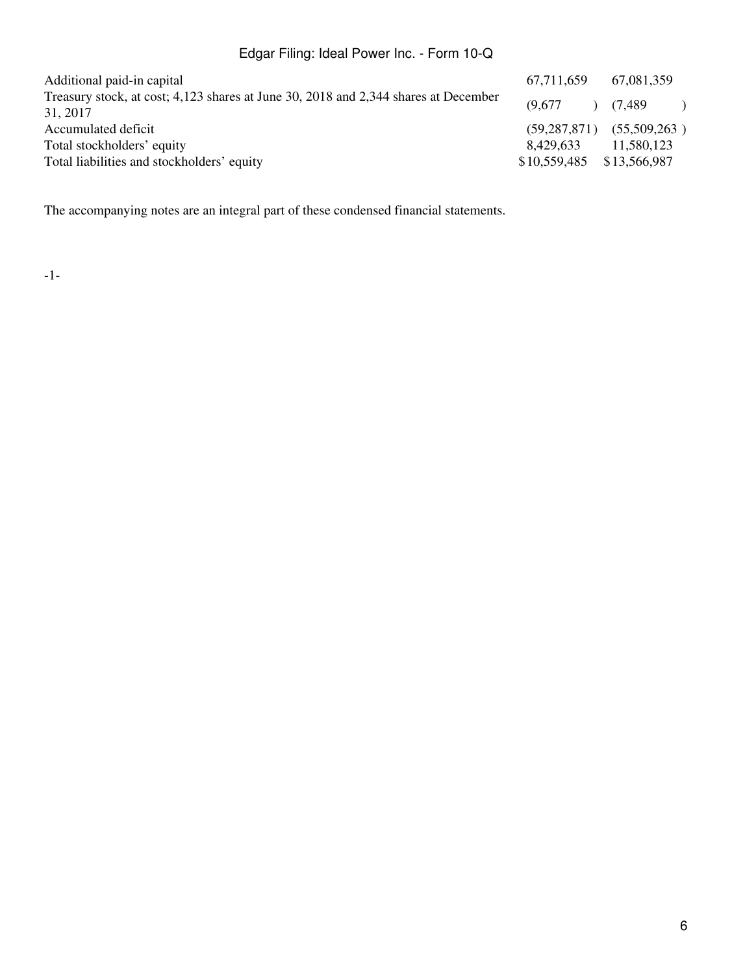| Additional paid-in capital                                                                      | 67,711,659                | 67,081,359                        |
|-------------------------------------------------------------------------------------------------|---------------------------|-----------------------------------|
| Treasury stock, at cost; 4,123 shares at June 30, 2018 and 2,344 shares at December<br>31, 2017 | $(9,677)$ (7,489)         |                                   |
| Accumulated deficit                                                                             |                           | $(59, 287, 871)$ $(55, 509, 263)$ |
| Total stockholders' equity                                                                      | 8.429.633                 | 11,580,123                        |
| Total liabilities and stockholders' equity                                                      | \$10,559,485 \$13,566,987 |                                   |

The accompanying notes are an integral part of these condensed financial statements.

-1-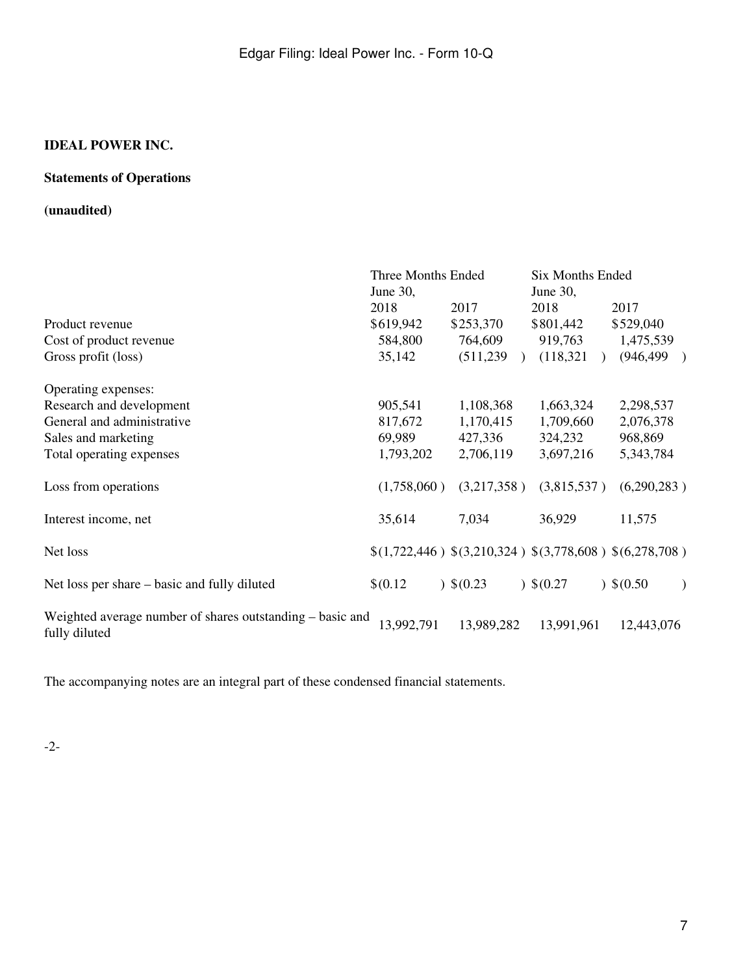## **IDEAL POWER INC.**

## <span id="page-6-0"></span>**Statements of Operations**

## **(unaudited)**

|                                                                            | Three Months Ended |              | <b>Six Months Ended</b>                               |                          |
|----------------------------------------------------------------------------|--------------------|--------------|-------------------------------------------------------|--------------------------|
|                                                                            | June 30,           |              | June 30,                                              |                          |
|                                                                            | 2018               | 2017         | 2018                                                  | 2017                     |
| Product revenue                                                            | \$619,942          | \$253,370    | \$801,442                                             | \$529,040                |
| Cost of product revenue                                                    | 584,800            | 764,609      | 919,763                                               | 1,475,539                |
| Gross profit (loss)                                                        | 35,142             | (511,239)    | (118,321)                                             | (946, 499)               |
| Operating expenses:                                                        |                    |              |                                                       |                          |
| Research and development                                                   | 905,541            | 1,108,368    | 1,663,324                                             | 2,298,537                |
| General and administrative                                                 | 817,672            | 1,170,415    | 1,709,660                                             | 2,076,378                |
| Sales and marketing                                                        | 69,989             | 427,336      | 324,232                                               | 968,869                  |
| Total operating expenses                                                   | 1,793,202          | 2,706,119    | 3,697,216                                             | 5,343,784                |
| Loss from operations                                                       | (1,758,060)        | (3,217,358)  | (3,815,537)                                           | (6,290,283)              |
| Interest income, net                                                       | 35,614             | 7,034        | 36,929                                                | 11,575                   |
| Net loss                                                                   |                    |              | $$(1,722,446) $(3,210,324) $(3,778,608) $(6,278,708)$ |                          |
| Net loss per share – basic and fully diluted                               | \$(0.12)           | $)$ \$(0.23) | $)$ \$(0.27)                                          | $)$ \$(0.50<br>$\lambda$ |
| Weighted average number of shares outstanding – basic and<br>fully diluted | 13,992,791         | 13,989,282   | 13,991,961                                            | 12,443,076               |

The accompanying notes are an integral part of these condensed financial statements.

-2-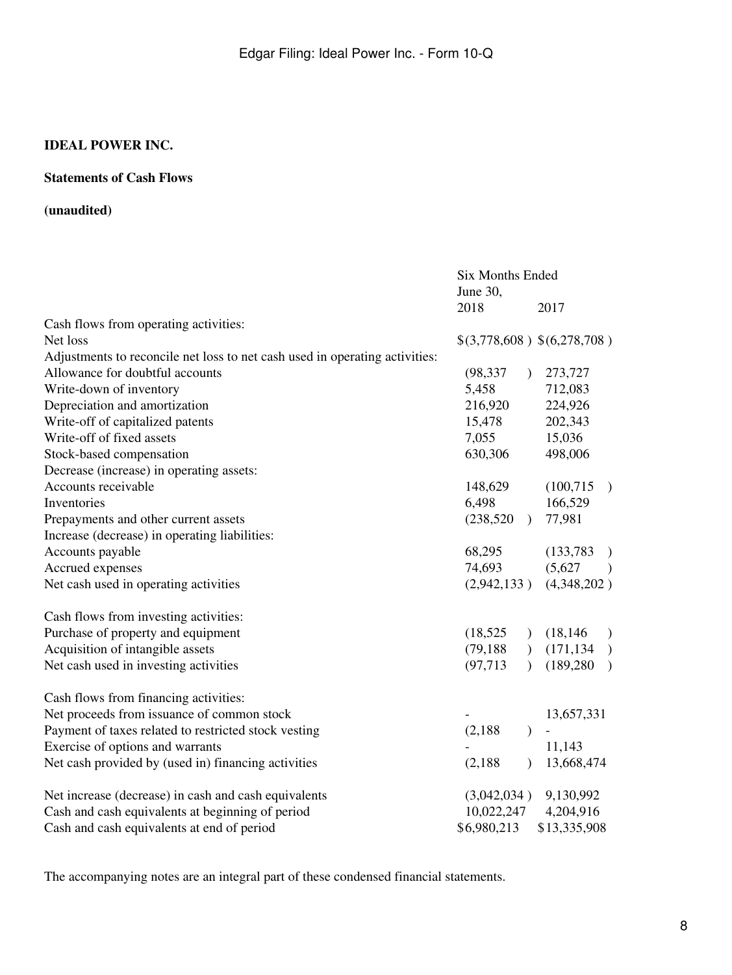## **IDEAL POWER INC.**

#### <span id="page-7-0"></span>**Statements of Cash Flows**

### **(unaudited)**

|                                                                             | <b>Six Months Ended</b><br>June 30, |                              |                             |               |
|-----------------------------------------------------------------------------|-------------------------------------|------------------------------|-----------------------------|---------------|
|                                                                             | 2018                                |                              | 2017                        |               |
| Cash flows from operating activities:                                       |                                     |                              |                             |               |
| Net loss                                                                    | \$(3,778,608) \$(6,278,708)         |                              |                             |               |
| Adjustments to reconcile net loss to net cash used in operating activities: |                                     |                              |                             |               |
| Allowance for doubtful accounts                                             | (98, 337)                           | $\mathcal{L}$                | 273,727                     |               |
| Write-down of inventory                                                     | 5,458                               |                              | 712,083                     |               |
| Depreciation and amortization                                               | 216,920                             |                              | 224,926                     |               |
| Write-off of capitalized patents                                            | 15,478                              |                              | 202,343                     |               |
| Write-off of fixed assets                                                   | 7,055                               |                              | 15,036                      |               |
| Stock-based compensation                                                    | 630,306                             |                              | 498,006                     |               |
| Decrease (increase) in operating assets:                                    |                                     |                              |                             |               |
| Accounts receivable                                                         | 148,629                             |                              | (100, 715)                  | $\rightarrow$ |
| Inventories                                                                 | 6,498                               |                              | 166,529                     |               |
| Prepayments and other current assets                                        | (238, 520)                          | $\rightarrow$                | 77,981                      |               |
| Increase (decrease) in operating liabilities:                               |                                     |                              |                             |               |
| Accounts payable                                                            | 68,295                              |                              | (133, 783)                  | $\mathcal{L}$ |
| Accrued expenses                                                            | 74,693                              |                              | (5,627)                     | $\mathcal{L}$ |
| Net cash used in operating activities                                       |                                     |                              | $(2,942,133)$ $(4,348,202)$ |               |
| Cash flows from investing activities:                                       |                                     |                              |                             |               |
| Purchase of property and equipment                                          | (18, 525)                           |                              | (18, 146)                   | $\lambda$     |
| Acquisition of intangible assets                                            | (79, 188)                           | $\left( \frac{1}{2} \right)$ | (171, 134)                  |               |
| Net cash used in investing activities                                       | (97, 713)                           | $\lambda$                    | (189, 280)                  | $\,$ )        |
| Cash flows from financing activities:                                       |                                     |                              |                             |               |
| Net proceeds from issuance of common stock                                  |                                     |                              | 13,657,331                  |               |
| Payment of taxes related to restricted stock vesting                        | (2,188)                             | $\mathcal{E}$                |                             |               |
| Exercise of options and warrants                                            |                                     |                              | 11,143                      |               |
| Net cash provided by (used in) financing activities                         | (2,188)                             |                              | 13,668,474                  |               |
| Net increase (decrease) in cash and cash equivalents                        |                                     |                              | $(3,042,034)$ 9,130,992     |               |
| Cash and cash equivalents at beginning of period                            | 10,022,247                          |                              | 4,204,916                   |               |
| Cash and cash equivalents at end of period                                  | \$6,980,213                         |                              | \$13,335,908                |               |

The accompanying notes are an integral part of these condensed financial statements.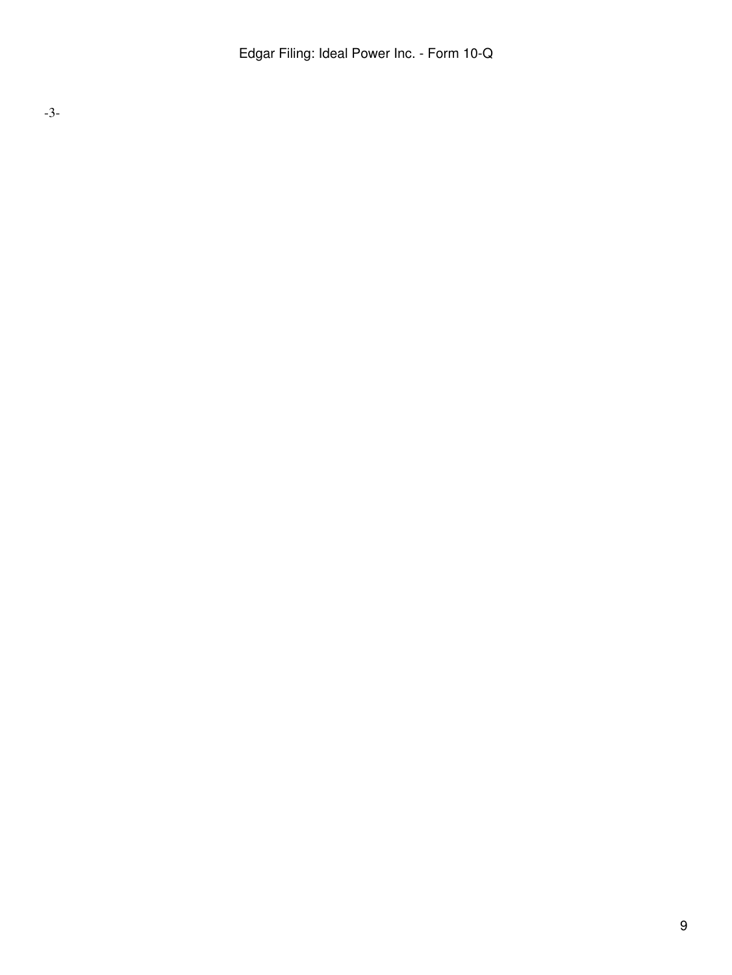-3-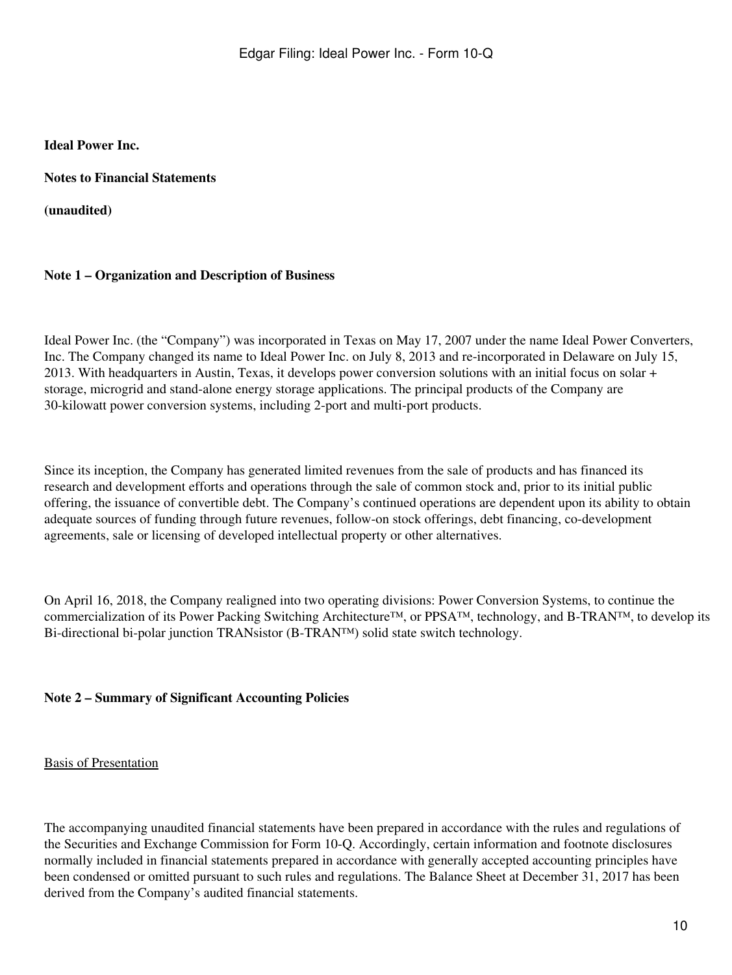**Ideal Power Inc.**

<span id="page-9-0"></span>**Notes to Financial Statements**

**(unaudited)**

## **Note 1 – Organization and Description of Business**

Ideal Power Inc. (the "Company") was incorporated in Texas on May 17, 2007 under the name Ideal Power Converters, Inc. The Company changed its name to Ideal Power Inc. on July 8, 2013 and re-incorporated in Delaware on July 15, 2013. With headquarters in Austin, Texas, it develops power conversion solutions with an initial focus on solar + storage, microgrid and stand-alone energy storage applications. The principal products of the Company are 30-kilowatt power conversion systems, including 2-port and multi-port products.

Since its inception, the Company has generated limited revenues from the sale of products and has financed its research and development efforts and operations through the sale of common stock and, prior to its initial public offering, the issuance of convertible debt. The Company's continued operations are dependent upon its ability to obtain adequate sources of funding through future revenues, follow-on stock offerings, debt financing, co-development agreements, sale or licensing of developed intellectual property or other alternatives.

On April 16, 2018, the Company realigned into two operating divisions: Power Conversion Systems, to continue the commercialization of its Power Packing Switching Architecture™, or PPSA™, technology, and B-TRAN™, to develop its Bi-directional bi-polar junction TRANsistor (B-TRAN™) solid state switch technology.

## **Note 2 – Summary of Significant Accounting Policies**

#### Basis of Presentation

The accompanying unaudited financial statements have been prepared in accordance with the rules and regulations of the Securities and Exchange Commission for Form 10-Q. Accordingly, certain information and footnote disclosures normally included in financial statements prepared in accordance with generally accepted accounting principles have been condensed or omitted pursuant to such rules and regulations. The Balance Sheet at December 31, 2017 has been derived from the Company's audited financial statements.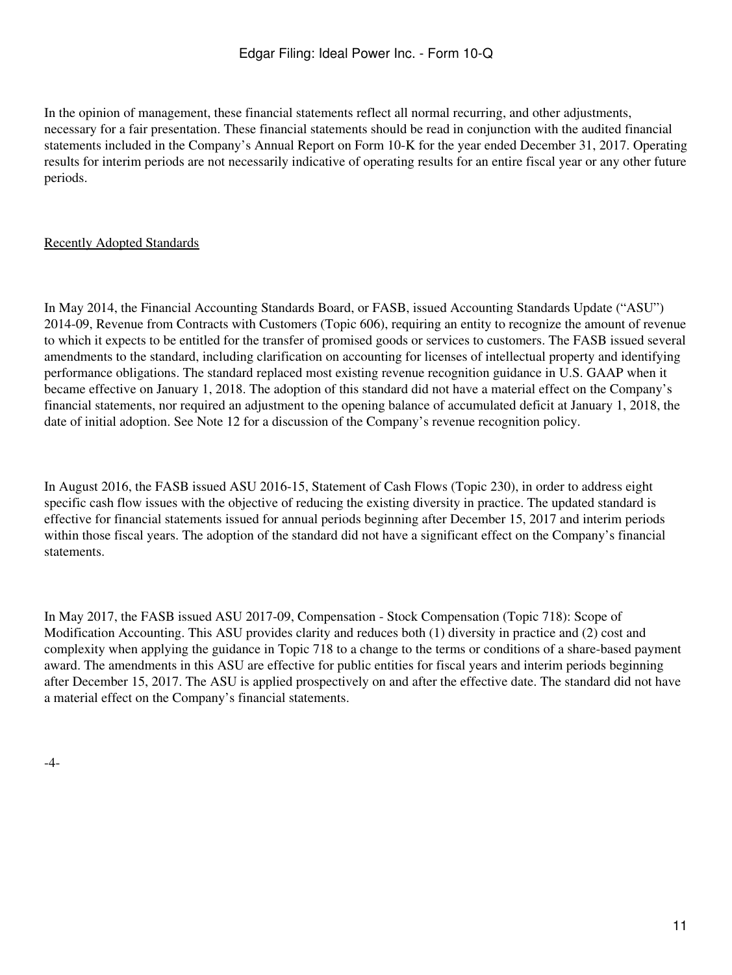In the opinion of management, these financial statements reflect all normal recurring, and other adjustments, necessary for a fair presentation. These financial statements should be read in conjunction with the audited financial statements included in the Company's Annual Report on Form 10-K for the year ended December 31, 2017. Operating results for interim periods are not necessarily indicative of operating results for an entire fiscal year or any other future periods.

## Recently Adopted Standards

In May 2014, the Financial Accounting Standards Board, or FASB, issued Accounting Standards Update ("ASU") 2014-09, Revenue from Contracts with Customers (Topic 606), requiring an entity to recognize the amount of revenue to which it expects to be entitled for the transfer of promised goods or services to customers. The FASB issued several amendments to the standard, including clarification on accounting for licenses of intellectual property and identifying performance obligations. The standard replaced most existing revenue recognition guidance in U.S. GAAP when it became effective on January 1, 2018. The adoption of this standard did not have a material effect on the Company's financial statements, nor required an adjustment to the opening balance of accumulated deficit at January 1, 2018, the date of initial adoption. See Note 12 for a discussion of the Company's revenue recognition policy.

In August 2016, the FASB issued ASU 2016-15, Statement of Cash Flows (Topic 230), in order to address eight specific cash flow issues with the objective of reducing the existing diversity in practice. The updated standard is effective for financial statements issued for annual periods beginning after December 15, 2017 and interim periods within those fiscal years. The adoption of the standard did not have a significant effect on the Company's financial statements.

In May 2017, the FASB issued ASU 2017-09, Compensation - Stock Compensation (Topic 718): Scope of Modification Accounting. This ASU provides clarity and reduces both (1) diversity in practice and (2) cost and complexity when applying the guidance in Topic 718 to a change to the terms or conditions of a share-based payment award. The amendments in this ASU are effective for public entities for fiscal years and interim periods beginning after December 15, 2017. The ASU is applied prospectively on and after the effective date. The standard did not have a material effect on the Company's financial statements.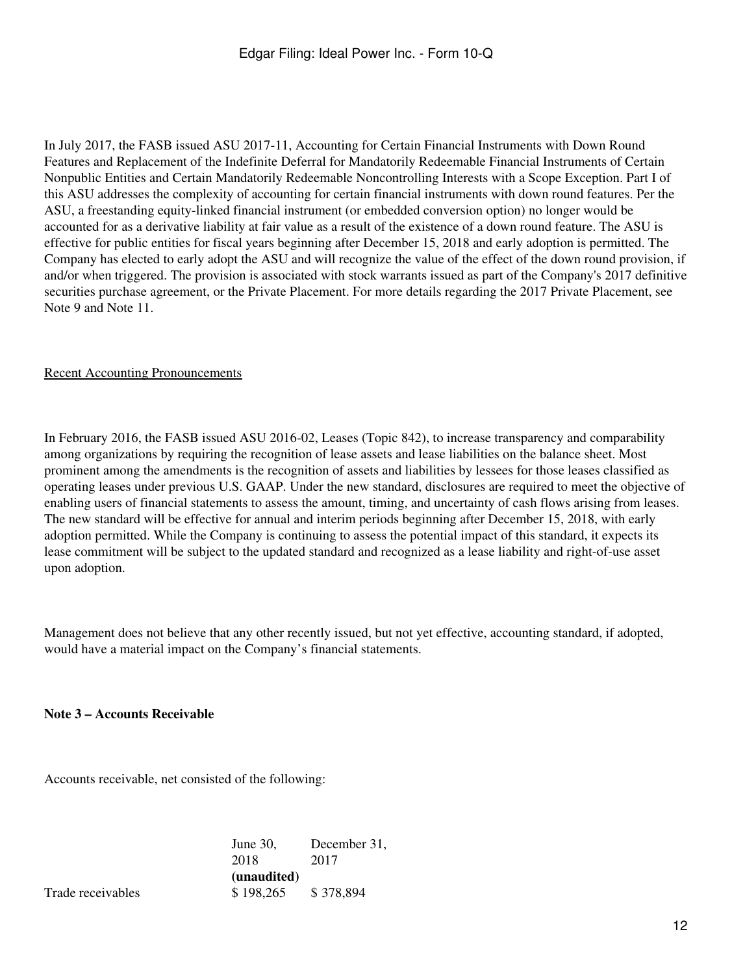In July 2017, the FASB issued ASU 2017-11, Accounting for Certain Financial Instruments with Down Round Features and Replacement of the Indefinite Deferral for Mandatorily Redeemable Financial Instruments of Certain Nonpublic Entities and Certain Mandatorily Redeemable Noncontrolling Interests with a Scope Exception. Part I of this ASU addresses the complexity of accounting for certain financial instruments with down round features. Per the ASU, a freestanding equity-linked financial instrument (or embedded conversion option) no longer would be accounted for as a derivative liability at fair value as a result of the existence of a down round feature. The ASU is effective for public entities for fiscal years beginning after December 15, 2018 and early adoption is permitted. The Company has elected to early adopt the ASU and will recognize the value of the effect of the down round provision, if and/or when triggered. The provision is associated with stock warrants issued as part of the Company's 2017 definitive securities purchase agreement, or the Private Placement. For more details regarding the 2017 Private Placement, see Note 9 and Note 11.

#### Recent Accounting Pronouncements

In February 2016, the FASB issued ASU 2016-02, Leases (Topic 842), to increase transparency and comparability among organizations by requiring the recognition of lease assets and lease liabilities on the balance sheet. Most prominent among the amendments is the recognition of assets and liabilities by lessees for those leases classified as operating leases under previous U.S. GAAP. Under the new standard, disclosures are required to meet the objective of enabling users of financial statements to assess the amount, timing, and uncertainty of cash flows arising from leases. The new standard will be effective for annual and interim periods beginning after December 15, 2018, with early adoption permitted. While the Company is continuing to assess the potential impact of this standard, it expects its lease commitment will be subject to the updated standard and recognized as a lease liability and right-of-use asset upon adoption.

Management does not believe that any other recently issued, but not yet effective, accounting standard, if adopted, would have a material impact on the Company's financial statements.

#### **Note 3 – Accounts Receivable**

Accounts receivable, net consisted of the following:

June 30, 2018 December 31, 2017 **(unaudited)** Trade receivables \$ 198,265 \$ 378,894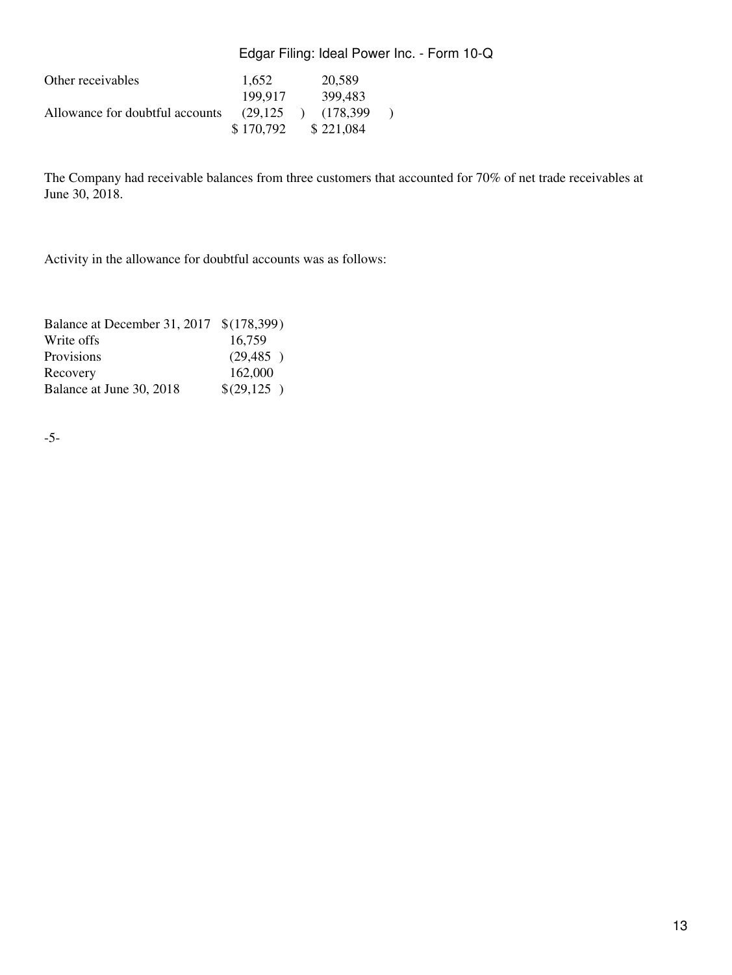| Other receivables               | 1.652     | 20,589     |  |
|---------------------------------|-----------|------------|--|
|                                 | 199.917   | 399,483    |  |
| Allowance for doubtful accounts | (29.125)  | (178, 399) |  |
|                                 | \$170,792 | \$221,084  |  |

The Company had receivable balances from three customers that accounted for 70% of net trade receivables at June 30, 2018.

Activity in the allowance for doubtful accounts was as follows:

| Balance at December 31, 2017 \$(178,399) |            |
|------------------------------------------|------------|
| Write offs                               | 16,759     |
| <b>Provisions</b>                        | (29, 485)  |
| Recovery                                 | 162,000    |
| Balance at June 30, 2018                 | \$(29,125) |

-5-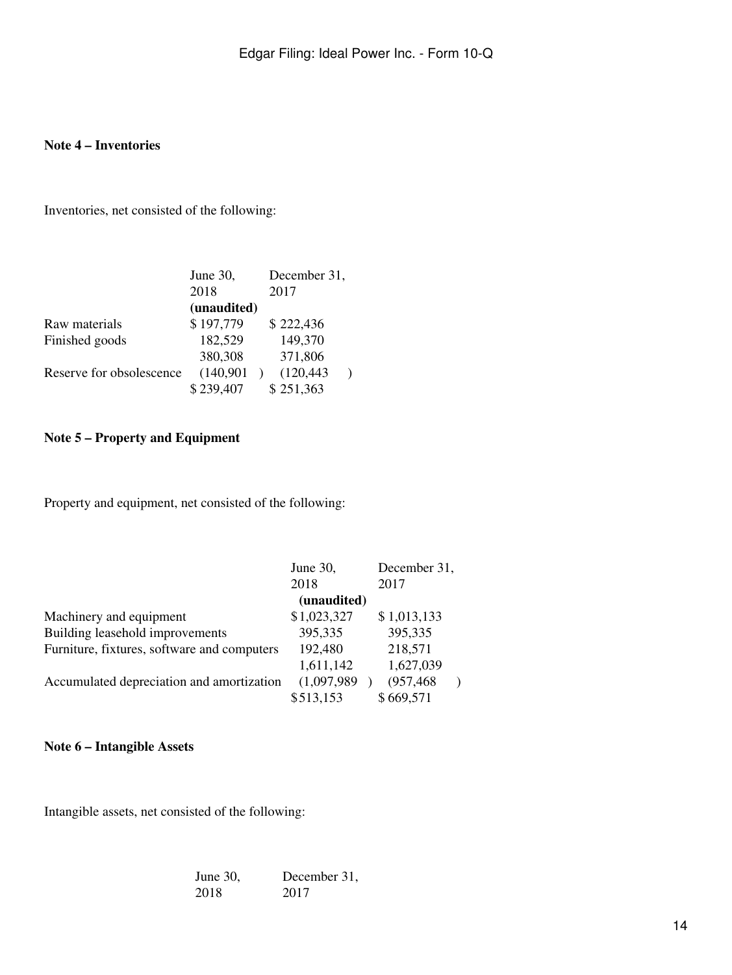## **Note 4 – Inventories**

Inventories, net consisted of the following:

|                          | June 30,    | December 31, |
|--------------------------|-------------|--------------|
|                          | 2018        | 2017         |
|                          | (unaudited) |              |
| Raw materials            | \$197,779   | \$222,436    |
| Finished goods           | 182,529     | 149,370      |
|                          | 380,308     | 371,806      |
| Reserve for obsolescence | (140, 901)  | (120, 443)   |
|                          | \$239,407   | \$251,363    |

## **Note 5 – Property and Equipment**

Property and equipment, net consisted of the following:

|                                             | June 30,    | December 31, |
|---------------------------------------------|-------------|--------------|
|                                             | 2018        | 2017         |
|                                             | (unaudited) |              |
| Machinery and equipment                     | \$1,023,327 | \$1,013,133  |
| Building leasehold improvements             | 395,335     | 395,335      |
| Furniture, fixtures, software and computers | 192,480     | 218,571      |
|                                             | 1,611,142   | 1,627,039    |
| Accumulated depreciation and amortization   | (1,097,989) | (957, 468)   |
|                                             | \$513,153   | \$669,571    |

## **Note 6 – Intangible Assets**

Intangible assets, net consisted of the following:

| June 30, | December 31, |
|----------|--------------|
| 2018     | 2017         |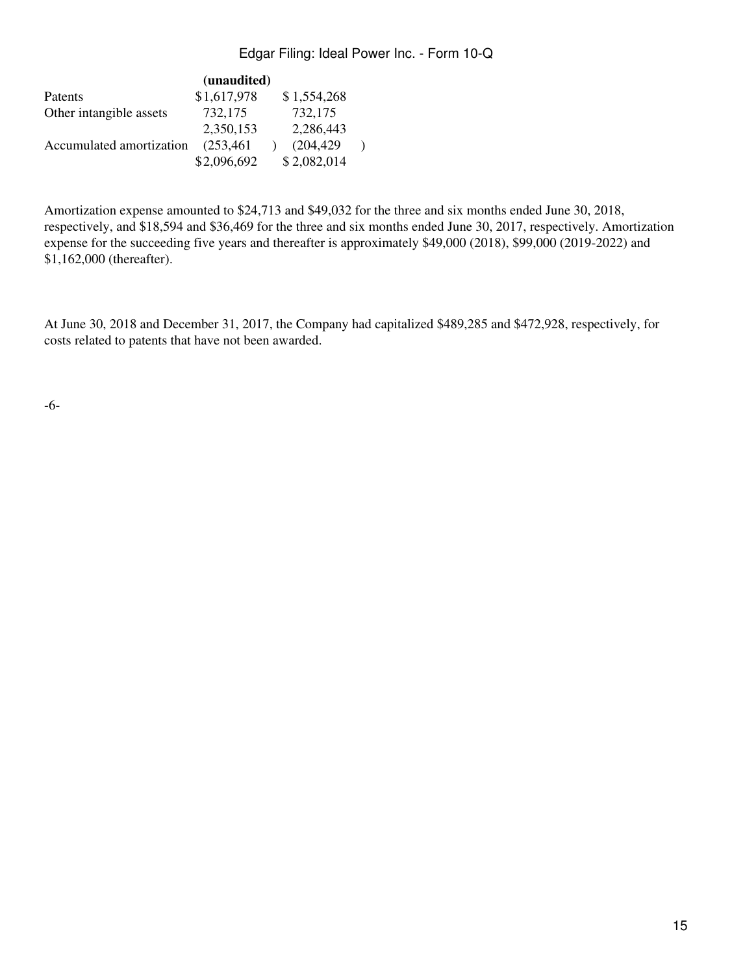|                          | (unaudited) |             |  |
|--------------------------|-------------|-------------|--|
| Patents                  | \$1,617,978 | \$1,554,268 |  |
| Other intangible assets  | 732,175     | 732,175     |  |
|                          | 2,350,153   | 2,286,443   |  |
| Accumulated amortization | (253, 461)  | (204, 429)  |  |
|                          | \$2,096,692 | \$2,082,014 |  |

Amortization expense amounted to \$24,713 and \$49,032 for the three and six months ended June 30, 2018, respectively, and \$18,594 and \$36,469 for the three and six months ended June 30, 2017, respectively. Amortization expense for the succeeding five years and thereafter is approximately \$49,000 (2018), \$99,000 (2019-2022) and \$1,162,000 (thereafter).

At June 30, 2018 and December 31, 2017, the Company had capitalized \$489,285 and \$472,928, respectively, for costs related to patents that have not been awarded.

-6-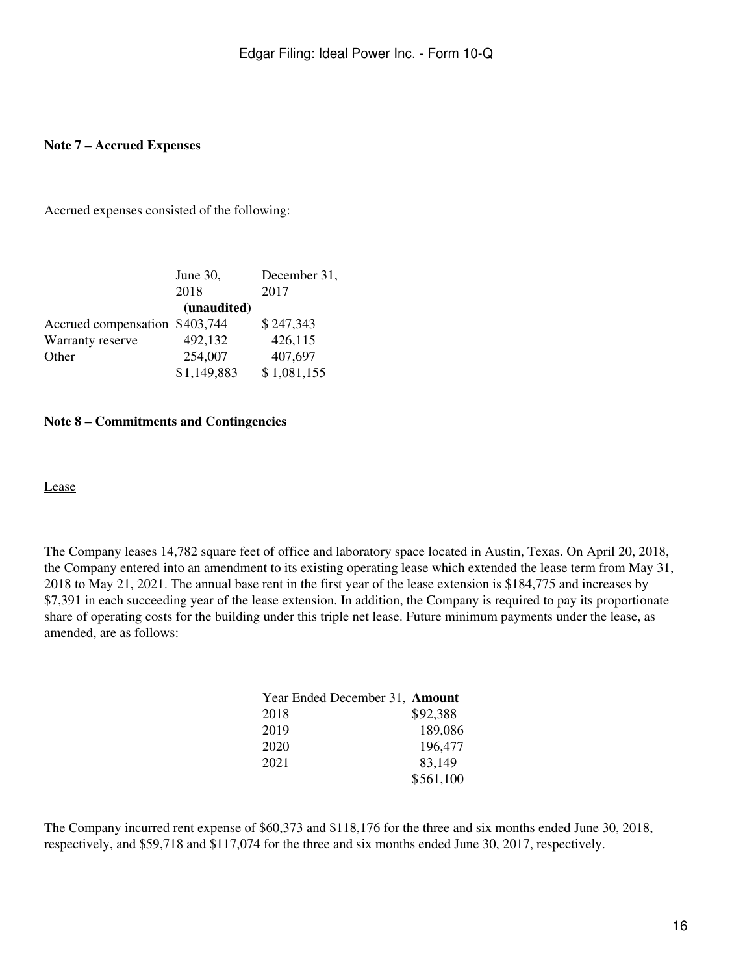#### **Note 7 – Accrued Expenses**

Accrued expenses consisted of the following:

|                                | June 30,    | December 31, |
|--------------------------------|-------------|--------------|
|                                | 2018        | 2017         |
|                                | (unaudited) |              |
| Accrued compensation \$403,744 |             | \$247,343    |
| Warranty reserve               | 492,132     | 426,115      |
| Other                          | 254,007     | 407,697      |
|                                | \$1,149,883 | \$1,081,155  |

#### **Note 8 – Commitments and Contingencies**

Lease

The Company leases 14,782 square feet of office and laboratory space located in Austin, Texas. On April 20, 2018, the Company entered into an amendment to its existing operating lease which extended the lease term from May 31, 2018 to May 21, 2021. The annual base rent in the first year of the lease extension is \$184,775 and increases by \$7,391 in each succeeding year of the lease extension. In addition, the Company is required to pay its proportionate share of operating costs for the building under this triple net lease. Future minimum payments under the lease, as amended, are as follows:

| Year Ended December 31, Amount |           |
|--------------------------------|-----------|
| 2018                           | \$92,388  |
| 2019                           | 189,086   |
| 2020                           | 196,477   |
| 2021                           | 83,149    |
|                                | \$561,100 |

The Company incurred rent expense of \$60,373 and \$118,176 for the three and six months ended June 30, 2018, respectively, and \$59,718 and \$117,074 for the three and six months ended June 30, 2017, respectively.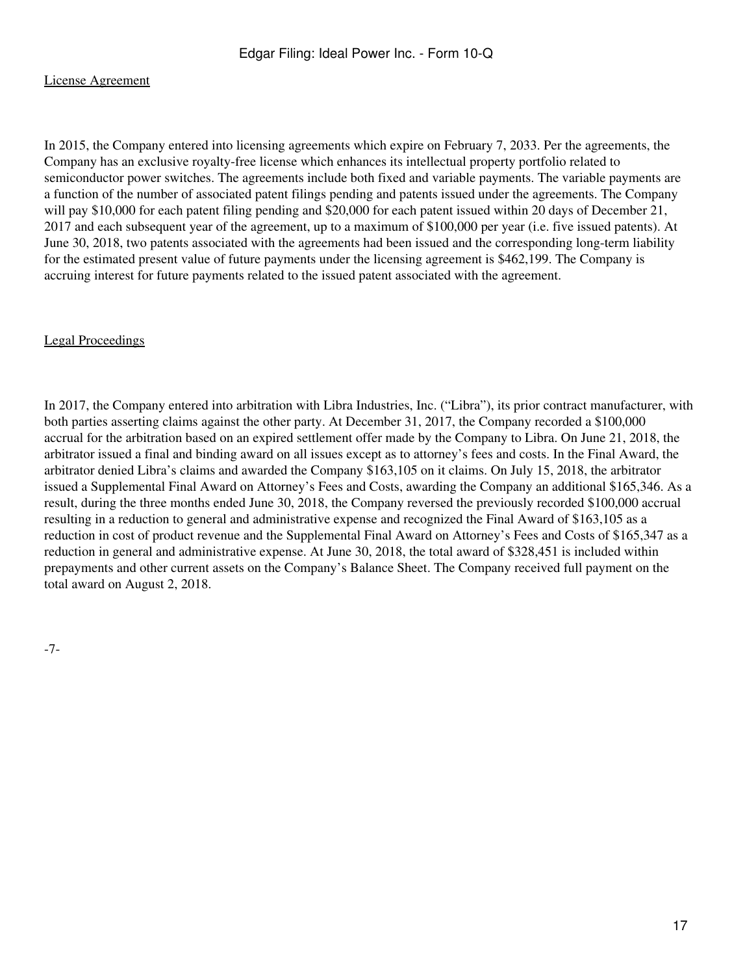#### License Agreement

In 2015, the Company entered into licensing agreements which expire on February 7, 2033. Per the agreements, the Company has an exclusive royalty-free license which enhances its intellectual property portfolio related to semiconductor power switches. The agreements include both fixed and variable payments. The variable payments are a function of the number of associated patent filings pending and patents issued under the agreements. The Company will pay \$10,000 for each patent filing pending and \$20,000 for each patent issued within 20 days of December 21, 2017 and each subsequent year of the agreement, up to a maximum of \$100,000 per year (i.e. five issued patents). At June 30, 2018, two patents associated with the agreements had been issued and the corresponding long-term liability for the estimated present value of future payments under the licensing agreement is \$462,199. The Company is accruing interest for future payments related to the issued patent associated with the agreement.

#### Legal Proceedings

In 2017, the Company entered into arbitration with Libra Industries, Inc. ("Libra"), its prior contract manufacturer, with both parties asserting claims against the other party. At December 31, 2017, the Company recorded a \$100,000 accrual for the arbitration based on an expired settlement offer made by the Company to Libra. On June 21, 2018, the arbitrator issued a final and binding award on all issues except as to attorney's fees and costs. In the Final Award, the arbitrator denied Libra's claims and awarded the Company \$163,105 on it claims. On July 15, 2018, the arbitrator issued a Supplemental Final Award on Attorney's Fees and Costs, awarding the Company an additional \$165,346. As a result, during the three months ended June 30, 2018, the Company reversed the previously recorded \$100,000 accrual resulting in a reduction to general and administrative expense and recognized the Final Award of \$163,105 as a reduction in cost of product revenue and the Supplemental Final Award on Attorney's Fees and Costs of \$165,347 as a reduction in general and administrative expense. At June 30, 2018, the total award of \$328,451 is included within prepayments and other current assets on the Company's Balance Sheet. The Company received full payment on the total award on August 2, 2018.

-7-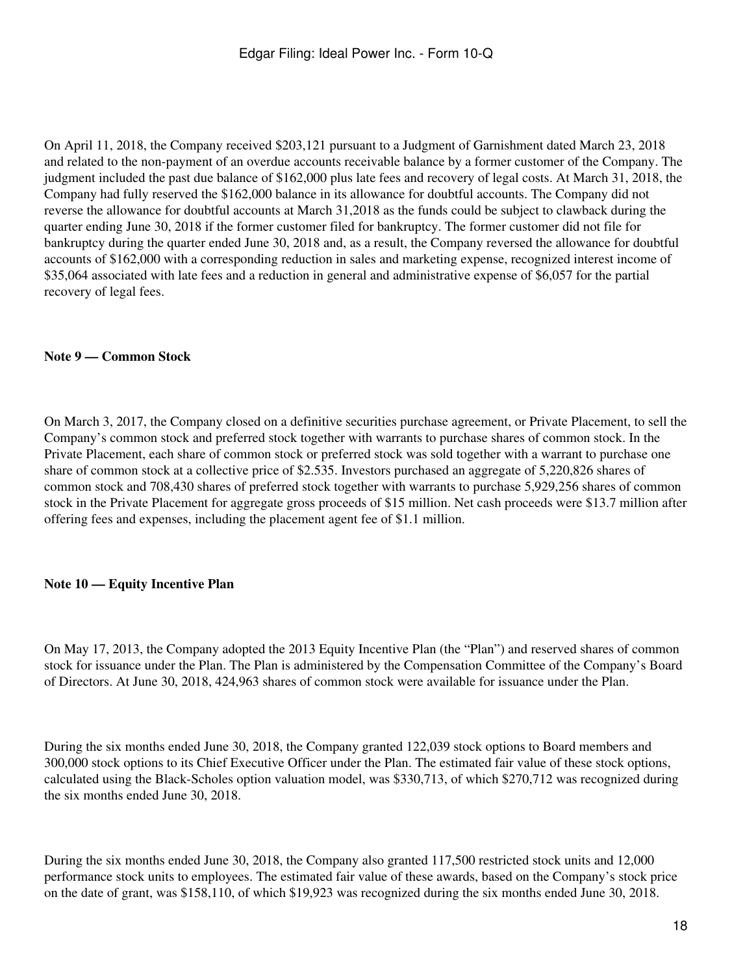On April 11, 2018, the Company received \$203,121 pursuant to a Judgment of Garnishment dated March 23, 2018 and related to the non-payment of an overdue accounts receivable balance by a former customer of the Company. The judgment included the past due balance of \$162,000 plus late fees and recovery of legal costs. At March 31, 2018, the Company had fully reserved the \$162,000 balance in its allowance for doubtful accounts. The Company did not reverse the allowance for doubtful accounts at March 31,2018 as the funds could be subject to clawback during the quarter ending June 30, 2018 if the former customer filed for bankruptcy. The former customer did not file for bankruptcy during the quarter ended June 30, 2018 and, as a result, the Company reversed the allowance for doubtful accounts of \$162,000 with a corresponding reduction in sales and marketing expense, recognized interest income of \$35,064 associated with late fees and a reduction in general and administrative expense of \$6,057 for the partial recovery of legal fees.

## **Note 9 — Common Stock**

On March 3, 2017, the Company closed on a definitive securities purchase agreement, or Private Placement, to sell the Company's common stock and preferred stock together with warrants to purchase shares of common stock. In the Private Placement, each share of common stock or preferred stock was sold together with a warrant to purchase one share of common stock at a collective price of \$2.535. Investors purchased an aggregate of 5,220,826 shares of common stock and 708,430 shares of preferred stock together with warrants to purchase 5,929,256 shares of common stock in the Private Placement for aggregate gross proceeds of \$15 million. Net cash proceeds were \$13.7 million after offering fees and expenses, including the placement agent fee of \$1.1 million.

#### **Note 10 — Equity Incentive Plan**

On May 17, 2013, the Company adopted the 2013 Equity Incentive Plan (the "Plan") and reserved shares of common stock for issuance under the Plan. The Plan is administered by the Compensation Committee of the Company's Board of Directors. At June 30, 2018, 424,963 shares of common stock were available for issuance under the Plan.

During the six months ended June 30, 2018, the Company granted 122,039 stock options to Board members and 300,000 stock options to its Chief Executive Officer under the Plan. The estimated fair value of these stock options, calculated using the Black-Scholes option valuation model, was \$330,713, of which \$270,712 was recognized during the six months ended June 30, 2018.

During the six months ended June 30, 2018, the Company also granted 117,500 restricted stock units and 12,000 performance stock units to employees. The estimated fair value of these awards, based on the Company's stock price on the date of grant, was \$158,110, of which \$19,923 was recognized during the six months ended June 30, 2018.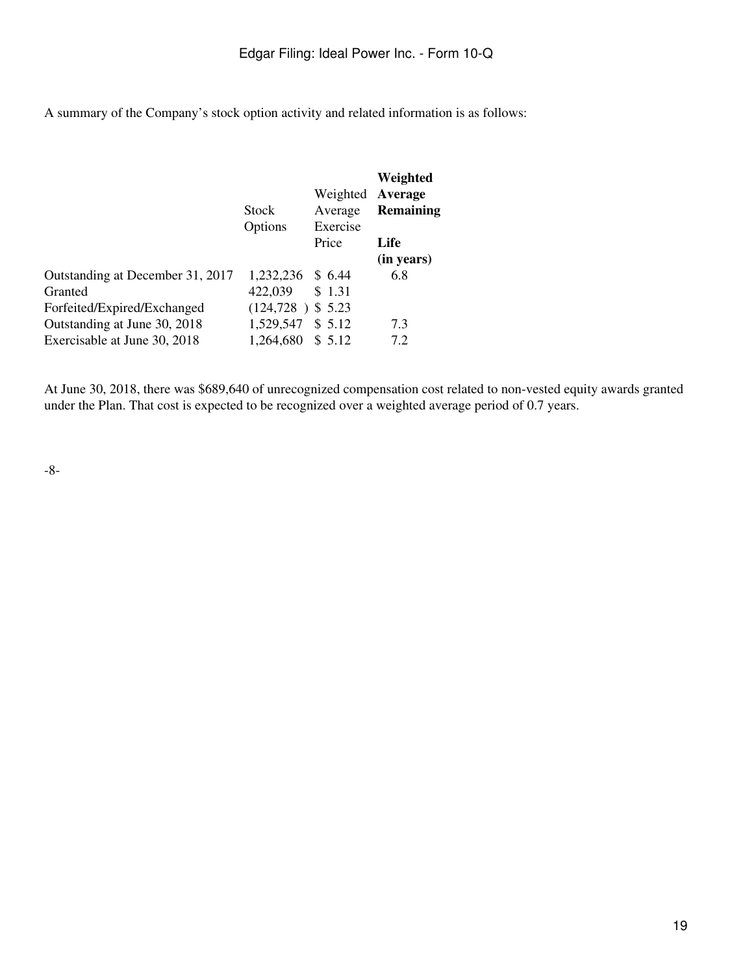A summary of the Company's stock option activity and related information is as follows:

|                                  | <b>Stock</b><br>Options | Weighted<br>Average<br>Exercise | Weighted<br>Average<br>Remaining |
|----------------------------------|-------------------------|---------------------------------|----------------------------------|
|                                  |                         | Price                           | Life                             |
|                                  |                         |                                 | (in years)                       |
| Outstanding at December 31, 2017 | 1,232,236               | \$ 6.44                         | 6.8                              |
| Granted                          | 422,039                 | \$1.31                          |                                  |
| Forfeited/Expired/Exchanged      | (124, 728)              | \$5.23                          |                                  |
| Outstanding at June 30, 2018     | 1,529,547               | \$5.12                          | 7.3                              |
| Exercisable at June 30, 2018     | 1,264,680               | \$5.12                          | 7.2                              |

At June 30, 2018, there was \$689,640 of unrecognized compensation cost related to non-vested equity awards granted under the Plan. That cost is expected to be recognized over a weighted average period of 0.7 years.

-8-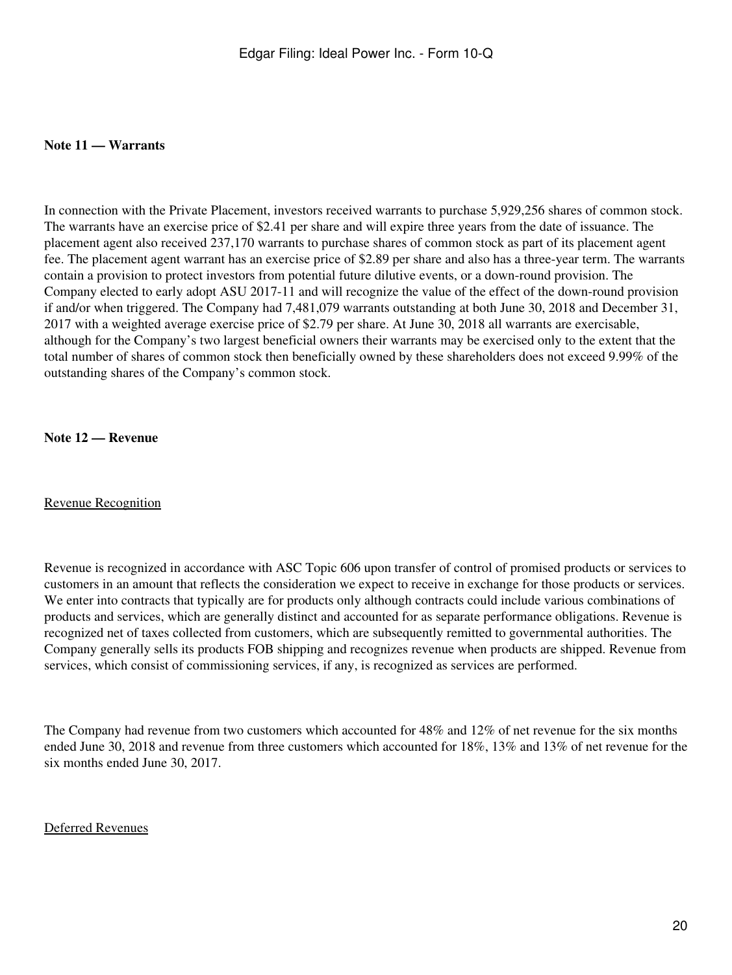#### **Note 11 — Warrants**

In connection with the Private Placement, investors received warrants to purchase 5,929,256 shares of common stock. The warrants have an exercise price of \$2.41 per share and will expire three years from the date of issuance. The placement agent also received 237,170 warrants to purchase shares of common stock as part of its placement agent fee. The placement agent warrant has an exercise price of \$2.89 per share and also has a three-year term. The warrants contain a provision to protect investors from potential future dilutive events, or a down-round provision. The Company elected to early adopt ASU 2017-11 and will recognize the value of the effect of the down-round provision if and/or when triggered. The Company had 7,481,079 warrants outstanding at both June 30, 2018 and December 31, 2017 with a weighted average exercise price of \$2.79 per share. At June 30, 2018 all warrants are exercisable, although for the Company's two largest beneficial owners their warrants may be exercised only to the extent that the total number of shares of common stock then beneficially owned by these shareholders does not exceed 9.99% of the outstanding shares of the Company's common stock.

#### **Note 12 — Revenue**

#### Revenue Recognition

Revenue is recognized in accordance with ASC Topic 606 upon transfer of control of promised products or services to customers in an amount that reflects the consideration we expect to receive in exchange for those products or services. We enter into contracts that typically are for products only although contracts could include various combinations of products and services, which are generally distinct and accounted for as separate performance obligations. Revenue is recognized net of taxes collected from customers, which are subsequently remitted to governmental authorities. The Company generally sells its products FOB shipping and recognizes revenue when products are shipped. Revenue from services, which consist of commissioning services, if any, is recognized as services are performed.

The Company had revenue from two customers which accounted for 48% and 12% of net revenue for the six months ended June 30, 2018 and revenue from three customers which accounted for 18%, 13% and 13% of net revenue for the six months ended June 30, 2017.

#### Deferred Revenues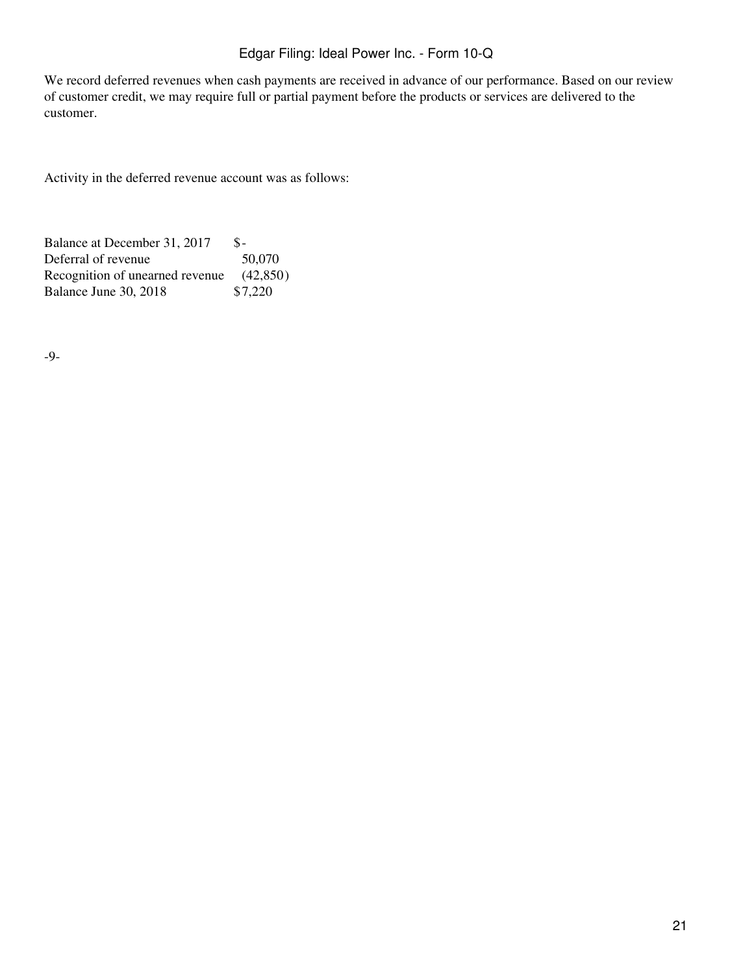We record deferred revenues when cash payments are received in advance of our performance. Based on our review of customer credit, we may require full or partial payment before the products or services are delivered to the customer.

Activity in the deferred revenue account was as follows:

| Balance at December 31, 2017    | $S-$      |
|---------------------------------|-----------|
| Deferral of revenue             | 50,070    |
| Recognition of unearned revenue | (42, 850) |
| Balance June 30, 2018           | \$7.220   |

-9-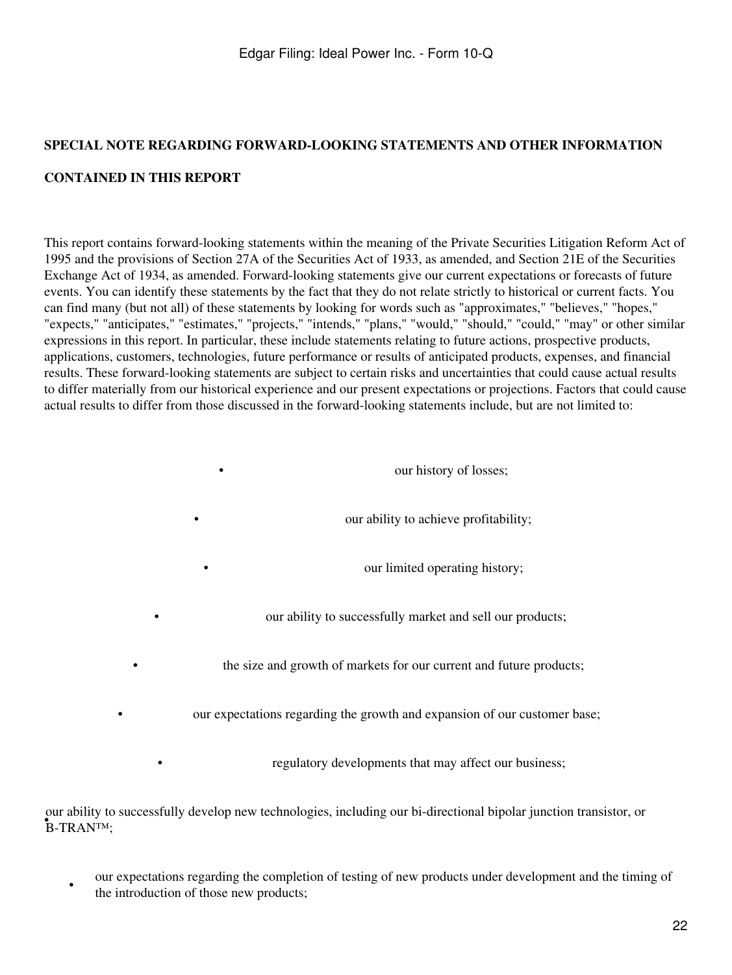# **SPECIAL NOTE REGARDING FORWARD-LOOKING STATEMENTS AND OTHER INFORMATION CONTAINED IN THIS REPORT**

This report contains forward-looking statements within the meaning of the Private Securities Litigation Reform Act of 1995 and the provisions of Section 27A of the Securities Act of 1933, as amended, and Section 21E of the Securities Exchange Act of 1934, as amended. Forward-looking statements give our current expectations or forecasts of future events. You can identify these statements by the fact that they do not relate strictly to historical or current facts. You can find many (but not all) of these statements by looking for words such as "approximates," "believes," "hopes," "expects," "anticipates," "estimates," "projects," "intends," "plans," "would," "should," "could," "may" or other similar expressions in this report. In particular, these include statements relating to future actions, prospective products, applications, customers, technologies, future performance or results of anticipated products, expenses, and financial results. These forward-looking statements are subject to certain risks and uncertainties that could cause actual results to differ materially from our historical experience and our present expectations or projections. Factors that could cause actual results to differ from those discussed in the forward-looking statements include, but are not limited to:

our history of losses;

our ability to achieve profitability;

our limited operating history;

our ability to successfully market and sell our products;

the size and growth of markets for our current and future products;

• our expectations regarding the growth and expansion of our customer base;

• regulatory developments that may affect our business;

**B**-TRAN™; our ability to successfully develop new technologies, including our bi-directional bipolar junction transistor, or

• our expectations regarding the completion of testing of new products under development and the timing of the introduction of those new products;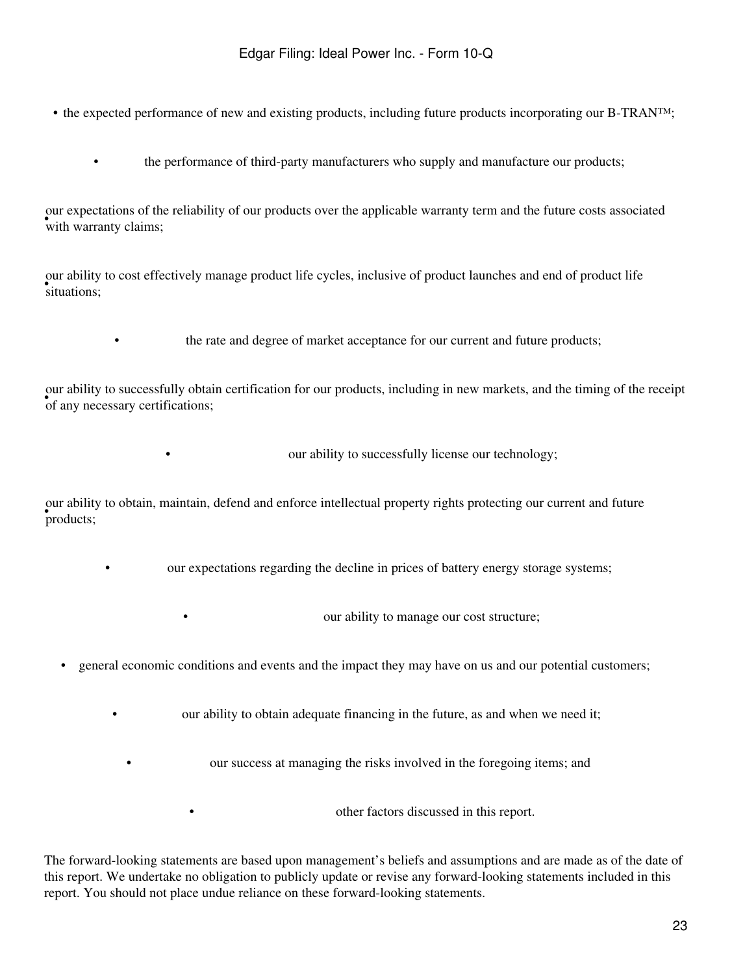- the expected performance of new and existing products, including future products incorporating our B-TRAN™;
	- the performance of third-party manufacturers who supply and manufacture our products;

with warranty claims; our expectations of the reliability of our products over the applicable warranty term and the future costs associated

• situations; our ability to cost effectively manage product life cycles, inclusive of product launches and end of product life

• the rate and degree of market acceptance for our current and future products;

of any necessary certifications; our ability to successfully obtain certification for our products, including in new markets, and the timing of the receipt

• our ability to successfully license our technology;

• products; our ability to obtain, maintain, defend and enforce intellectual property rights protecting our current and future

our expectations regarding the decline in prices of battery energy storage systems;

- **our ability to manage our cost structure;**
- general economic conditions and events and the impact they may have on us and our potential customers;

• our ability to obtain adequate financing in the future, as and when we need it;

• our success at managing the risks involved in the foregoing items; and

• **other factors discussed in this report.** 

The forward-looking statements are based upon management's beliefs and assumptions and are made as of the date of this report. We undertake no obligation to publicly update or revise any forward-looking statements included in this report. You should not place undue reliance on these forward-looking statements.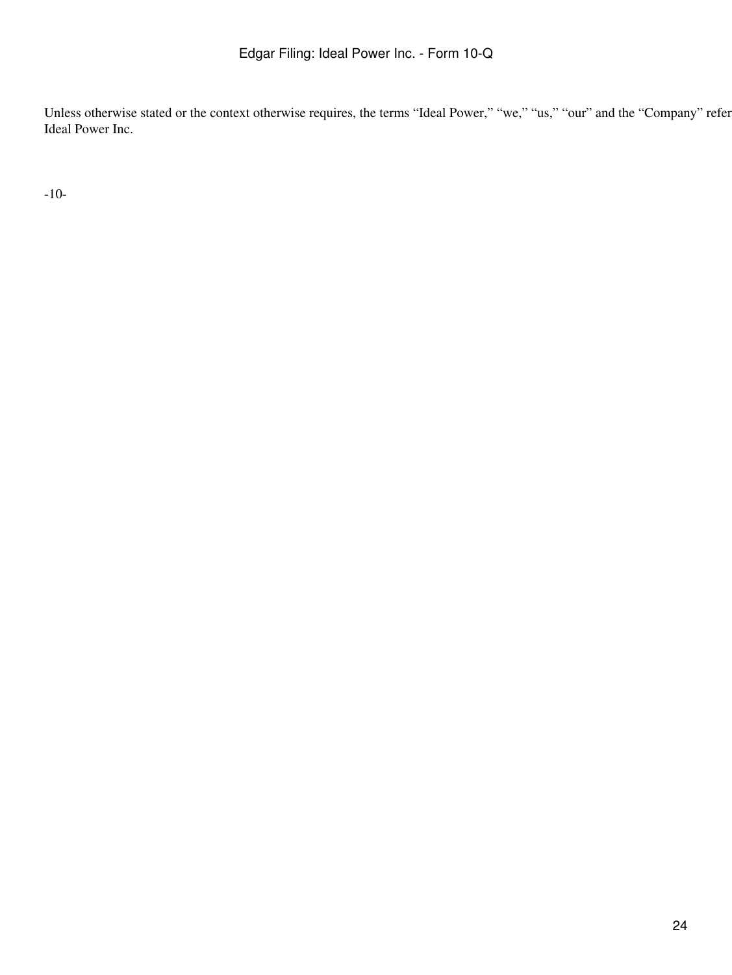Unless otherwise stated or the context otherwise requires, the terms "Ideal Power," "we," "us," "our" and the "Company" refer Ideal Power Inc.

-10-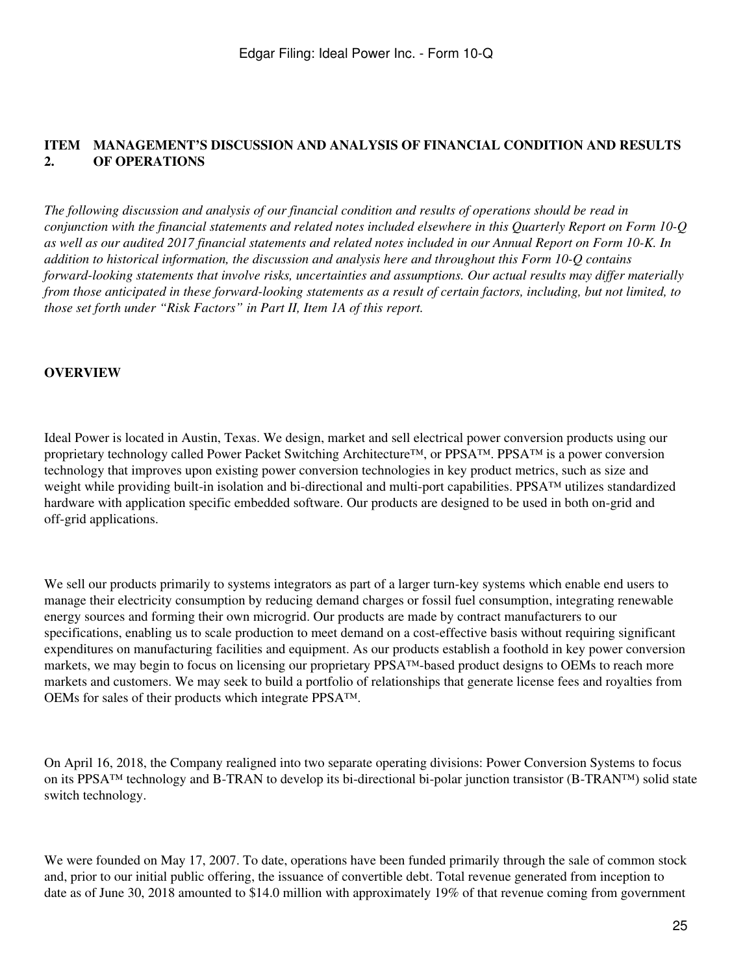#### <span id="page-24-0"></span>**ITEM MANAGEMENT'S DISCUSSION AND ANALYSIS OF FINANCIAL CONDITION AND RESULTS 2. OF OPERATIONS**

*The following discussion and analysis of our financial condition and results of operations should be read in conjunction with the financial statements and related notes included elsewhere in this Quarterly Report on Form 10-Q as well as our audited 2017 financial statements and related notes included in our Annual Report on Form 10-K. In addition to historical information, the discussion and analysis here and throughout this Form 10-Q contains forward-looking statements that involve risks, uncertainties and assumptions. Our actual results may differ materially from those anticipated in these forward-looking statements as a result of certain factors, including, but not limited, to those set forth under "Risk Factors" in Part II, Item 1A of this report.*

#### **OVERVIEW**

Ideal Power is located in Austin, Texas. We design, market and sell electrical power conversion products using our proprietary technology called Power Packet Switching Architecture™, or PPSA™. PPSA™ is a power conversion technology that improves upon existing power conversion technologies in key product metrics, such as size and weight while providing built-in isolation and bi-directional and multi-port capabilities. PPSA™ utilizes standardized hardware with application specific embedded software. Our products are designed to be used in both on-grid and off-grid applications.

We sell our products primarily to systems integrators as part of a larger turn-key systems which enable end users to manage their electricity consumption by reducing demand charges or fossil fuel consumption, integrating renewable energy sources and forming their own microgrid. Our products are made by contract manufacturers to our specifications, enabling us to scale production to meet demand on a cost-effective basis without requiring significant expenditures on manufacturing facilities and equipment. As our products establish a foothold in key power conversion markets, we may begin to focus on licensing our proprietary PPSA™-based product designs to OEMs to reach more markets and customers. We may seek to build a portfolio of relationships that generate license fees and royalties from OEMs for sales of their products which integrate PPSA™.

On April 16, 2018, the Company realigned into two separate operating divisions: Power Conversion Systems to focus on its PPSA™ technology and B-TRAN to develop its bi-directional bi-polar junction transistor (B-TRAN™) solid state switch technology.

We were founded on May 17, 2007. To date, operations have been funded primarily through the sale of common stock and, prior to our initial public offering, the issuance of convertible debt. Total revenue generated from inception to date as of June 30, 2018 amounted to \$14.0 million with approximately 19% of that revenue coming from government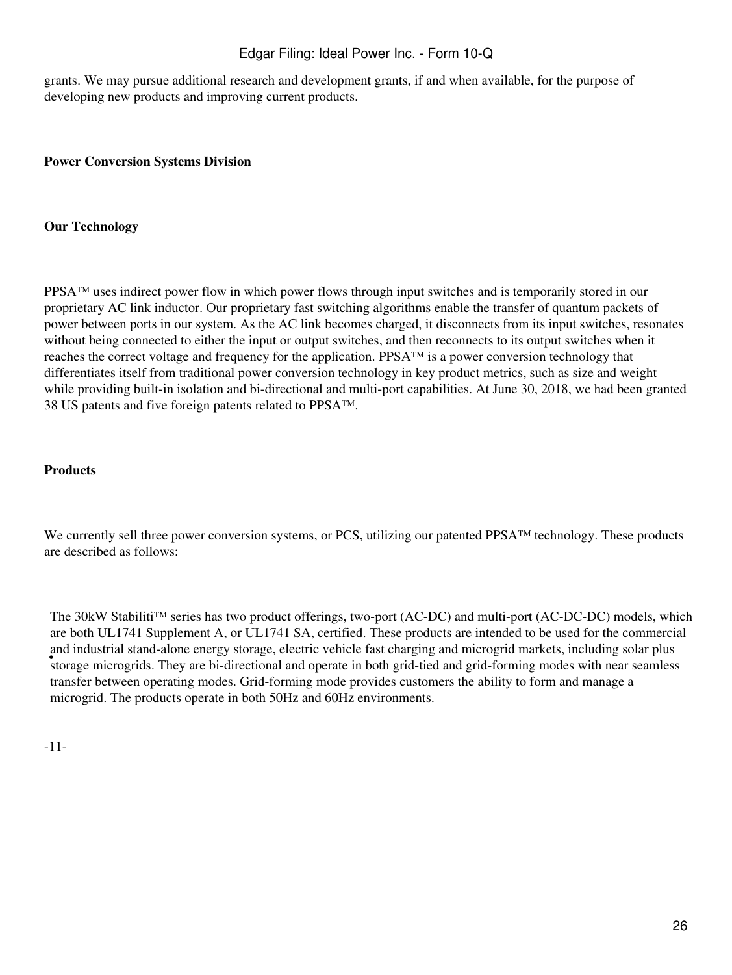grants. We may pursue additional research and development grants, if and when available, for the purpose of developing new products and improving current products.

#### **Power Conversion Systems Division**

### **Our Technology**

PPSA™ uses indirect power flow in which power flows through input switches and is temporarily stored in our proprietary AC link inductor. Our proprietary fast switching algorithms enable the transfer of quantum packets of power between ports in our system. As the AC link becomes charged, it disconnects from its input switches, resonates without being connected to either the input or output switches, and then reconnects to its output switches when it reaches the correct voltage and frequency for the application. PPSA™ is a power conversion technology that differentiates itself from traditional power conversion technology in key product metrics, such as size and weight while providing built-in isolation and bi-directional and multi-port capabilities. At June 30, 2018, we had been granted 38 US patents and five foreign patents related to PPSA™.

#### **Products**

We currently sell three power conversion systems, or PCS, utilizing our patented PPSA™ technology. These products are described as follows:

and measural stand above energy storage, creente ventere hast enarging and interegrid markets, including solar plas<br>storage microgrids. They are bi-directional and operate in both grid-tied and grid-forming modes with near The 30kW Stabiliti™ series has two product offerings, two-port (AC-DC) and multi-port (AC-DC-DC) models, which are both UL1741 Supplement A, or UL1741 SA, certified. These products are intended to be used for the commercial and industrial stand-alone energy storage, electric vehicle fast charging and microgrid markets, including solar plus transfer between operating modes. Grid-forming mode provides customers the ability to form and manage a microgrid. The products operate in both 50Hz and 60Hz environments.

-11-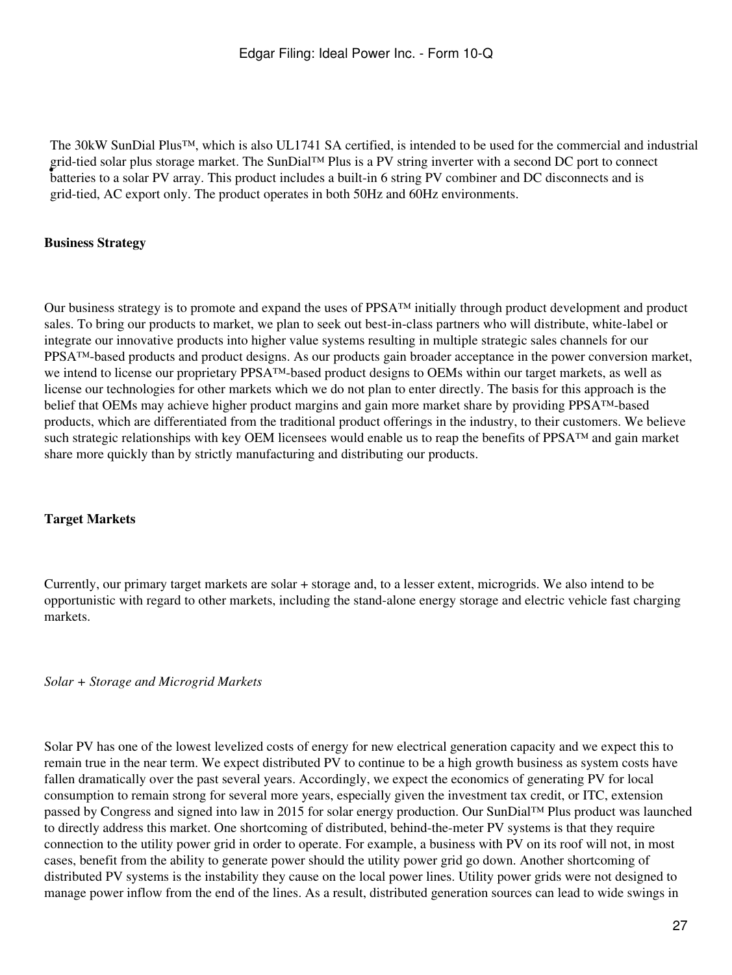• batteries to a solar PV array. This product includes a built-in 6 string PV combiner and DC disconnects and is The 30kW SunDial Plus™, which is also UL1741 SA certified, is intended to be used for the commercial and industrial grid-tied solar plus storage market. The SunDial™ Plus is a PV string inverter with a second DC port to connect grid-tied, AC export only. The product operates in both 50Hz and 60Hz environments.

#### **Business Strategy**

Our business strategy is to promote and expand the uses of PPSA™ initially through product development and product sales. To bring our products to market, we plan to seek out best-in-class partners who will distribute, white-label or integrate our innovative products into higher value systems resulting in multiple strategic sales channels for our PPSA™-based products and product designs. As our products gain broader acceptance in the power conversion market, we intend to license our proprietary PPSA™-based product designs to OEMs within our target markets, as well as license our technologies for other markets which we do not plan to enter directly. The basis for this approach is the belief that OEMs may achieve higher product margins and gain more market share by providing PPSA™-based products, which are differentiated from the traditional product offerings in the industry, to their customers. We believe such strategic relationships with key OEM licensees would enable us to reap the benefits of PPSA™ and gain market share more quickly than by strictly manufacturing and distributing our products.

#### **Target Markets**

Currently, our primary target markets are solar + storage and, to a lesser extent, microgrids. We also intend to be opportunistic with regard to other markets, including the stand-alone energy storage and electric vehicle fast charging markets.

#### *Solar + Storage and Microgrid Markets*

Solar PV has one of the lowest levelized costs of energy for new electrical generation capacity and we expect this to remain true in the near term. We expect distributed PV to continue to be a high growth business as system costs have fallen dramatically over the past several years. Accordingly, we expect the economics of generating PV for local consumption to remain strong for several more years, especially given the investment tax credit, or ITC, extension passed by Congress and signed into law in 2015 for solar energy production. Our SunDial™ Plus product was launched to directly address this market. One shortcoming of distributed, behind-the-meter PV systems is that they require connection to the utility power grid in order to operate. For example, a business with PV on its roof will not, in most cases, benefit from the ability to generate power should the utility power grid go down. Another shortcoming of distributed PV systems is the instability they cause on the local power lines. Utility power grids were not designed to manage power inflow from the end of the lines. As a result, distributed generation sources can lead to wide swings in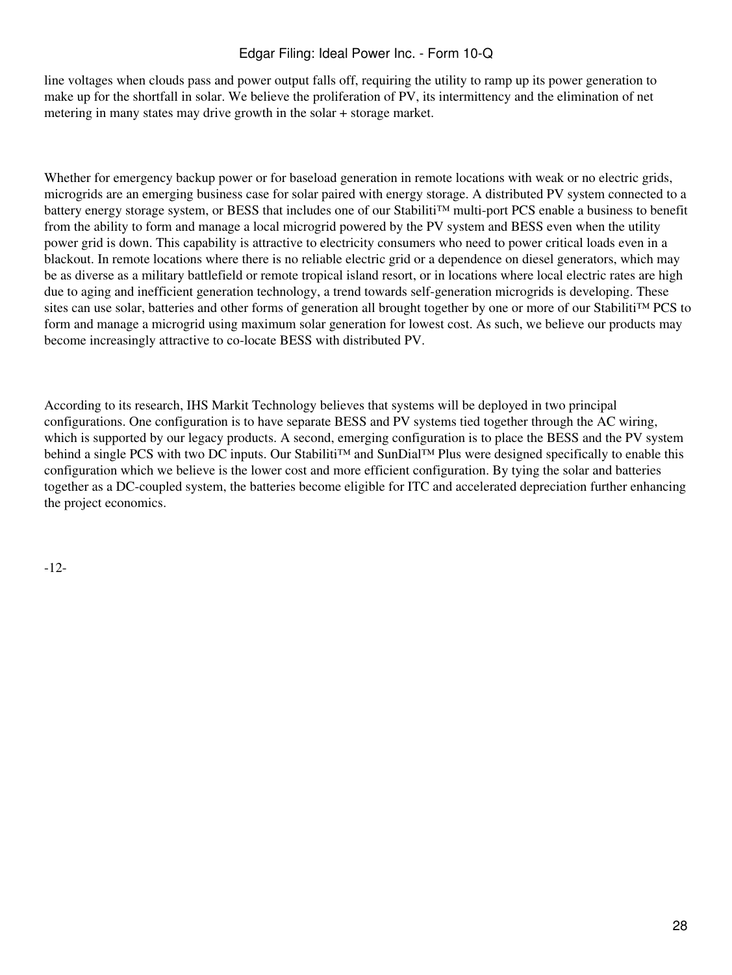line voltages when clouds pass and power output falls off, requiring the utility to ramp up its power generation to make up for the shortfall in solar. We believe the proliferation of PV, its intermittency and the elimination of net metering in many states may drive growth in the solar + storage market.

Whether for emergency backup power or for baseload generation in remote locations with weak or no electric grids, microgrids are an emerging business case for solar paired with energy storage. A distributed PV system connected to a battery energy storage system, or BESS that includes one of our Stabiliti™ multi-port PCS enable a business to benefit from the ability to form and manage a local microgrid powered by the PV system and BESS even when the utility power grid is down. This capability is attractive to electricity consumers who need to power critical loads even in a blackout. In remote locations where there is no reliable electric grid or a dependence on diesel generators, which may be as diverse as a military battlefield or remote tropical island resort, or in locations where local electric rates are high due to aging and inefficient generation technology, a trend towards self-generation microgrids is developing. These sites can use solar, batteries and other forms of generation all brought together by one or more of our Stabiliti™ PCS to form and manage a microgrid using maximum solar generation for lowest cost. As such, we believe our products may become increasingly attractive to co-locate BESS with distributed PV.

According to its research, IHS Markit Technology believes that systems will be deployed in two principal configurations. One configuration is to have separate BESS and PV systems tied together through the AC wiring, which is supported by our legacy products. A second, emerging configuration is to place the BESS and the PV system behind a single PCS with two DC inputs. Our Stabiliti™ and SunDial™ Plus were designed specifically to enable this configuration which we believe is the lower cost and more efficient configuration. By tying the solar and batteries together as a DC-coupled system, the batteries become eligible for ITC and accelerated depreciation further enhancing the project economics.

-12-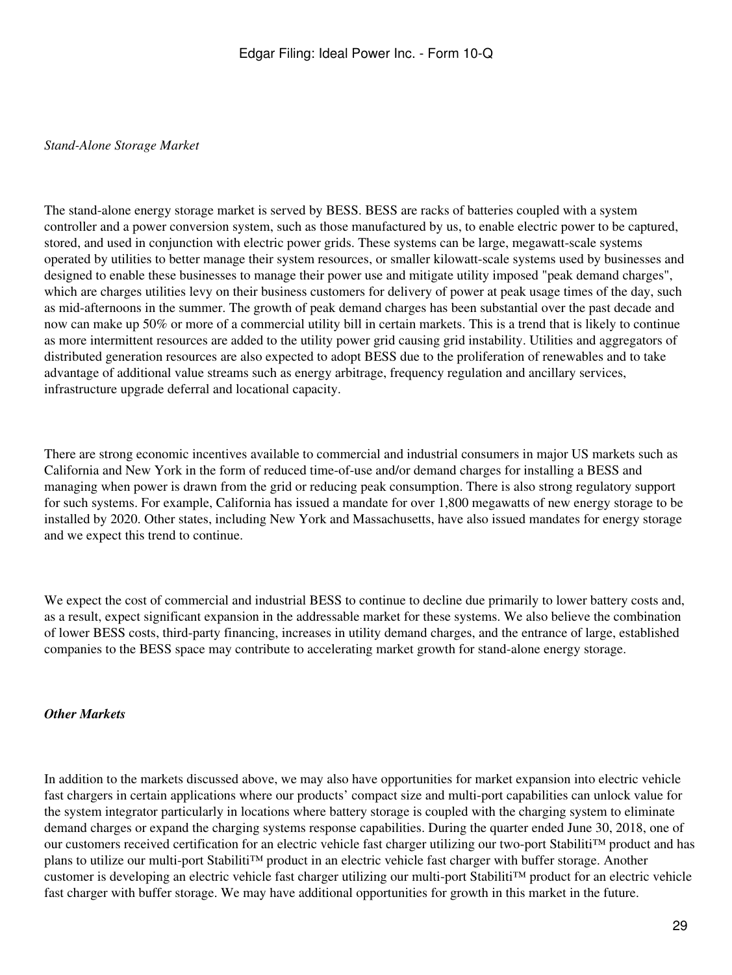#### *Stand-Alone Storage Market*

The stand-alone energy storage market is served by BESS. BESS are racks of batteries coupled with a system controller and a power conversion system, such as those manufactured by us, to enable electric power to be captured, stored, and used in conjunction with electric power grids. These systems can be large, megawatt-scale systems operated by utilities to better manage their system resources, or smaller kilowatt-scale systems used by businesses and designed to enable these businesses to manage their power use and mitigate utility imposed "peak demand charges", which are charges utilities levy on their business customers for delivery of power at peak usage times of the day, such as mid-afternoons in the summer. The growth of peak demand charges has been substantial over the past decade and now can make up 50% or more of a commercial utility bill in certain markets. This is a trend that is likely to continue as more intermittent resources are added to the utility power grid causing grid instability. Utilities and aggregators of distributed generation resources are also expected to adopt BESS due to the proliferation of renewables and to take advantage of additional value streams such as energy arbitrage, frequency regulation and ancillary services, infrastructure upgrade deferral and locational capacity.

There are strong economic incentives available to commercial and industrial consumers in major US markets such as California and New York in the form of reduced time-of-use and/or demand charges for installing a BESS and managing when power is drawn from the grid or reducing peak consumption. There is also strong regulatory support for such systems. For example, California has issued a mandate for over 1,800 megawatts of new energy storage to be installed by 2020. Other states, including New York and Massachusetts, have also issued mandates for energy storage and we expect this trend to continue.

We expect the cost of commercial and industrial BESS to continue to decline due primarily to lower battery costs and, as a result, expect significant expansion in the addressable market for these systems. We also believe the combination of lower BESS costs, third-party financing, increases in utility demand charges, and the entrance of large, established companies to the BESS space may contribute to accelerating market growth for stand-alone energy storage.

#### *Other Markets*

In addition to the markets discussed above, we may also have opportunities for market expansion into electric vehicle fast chargers in certain applications where our products' compact size and multi-port capabilities can unlock value for the system integrator particularly in locations where battery storage is coupled with the charging system to eliminate demand charges or expand the charging systems response capabilities. During the quarter ended June 30, 2018, one of our customers received certification for an electric vehicle fast charger utilizing our two-port Stabiliti™ product and has plans to utilize our multi-port Stabiliti™ product in an electric vehicle fast charger with buffer storage. Another customer is developing an electric vehicle fast charger utilizing our multi-port Stabiliti™ product for an electric vehicle fast charger with buffer storage. We may have additional opportunities for growth in this market in the future.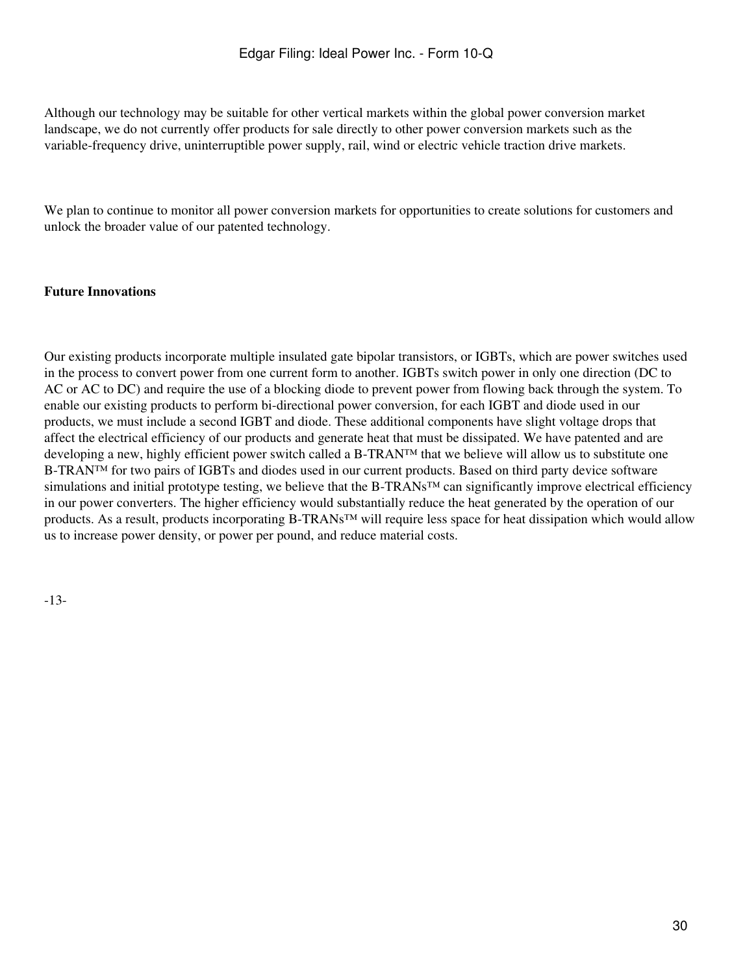Although our technology may be suitable for other vertical markets within the global power conversion market landscape, we do not currently offer products for sale directly to other power conversion markets such as the variable-frequency drive, uninterruptible power supply, rail, wind or electric vehicle traction drive markets.

We plan to continue to monitor all power conversion markets for opportunities to create solutions for customers and unlock the broader value of our patented technology.

#### **Future Innovations**

Our existing products incorporate multiple insulated gate bipolar transistors, or IGBTs, which are power switches used in the process to convert power from one current form to another. IGBTs switch power in only one direction (DC to AC or AC to DC) and require the use of a blocking diode to prevent power from flowing back through the system. To enable our existing products to perform bi-directional power conversion, for each IGBT and diode used in our products, we must include a second IGBT and diode. These additional components have slight voltage drops that affect the electrical efficiency of our products and generate heat that must be dissipated. We have patented and are developing a new, highly efficient power switch called a B-TRAN™ that we believe will allow us to substitute one B-TRAN<sup>™</sup> for two pairs of IGBTs and diodes used in our current products. Based on third party device software simulations and initial prototype testing, we believe that the B-TRANs™ can significantly improve electrical efficiency in our power converters. The higher efficiency would substantially reduce the heat generated by the operation of our products. As a result, products incorporating B-TRANs™ will require less space for heat dissipation which would allow us to increase power density, or power per pound, and reduce material costs.

-13-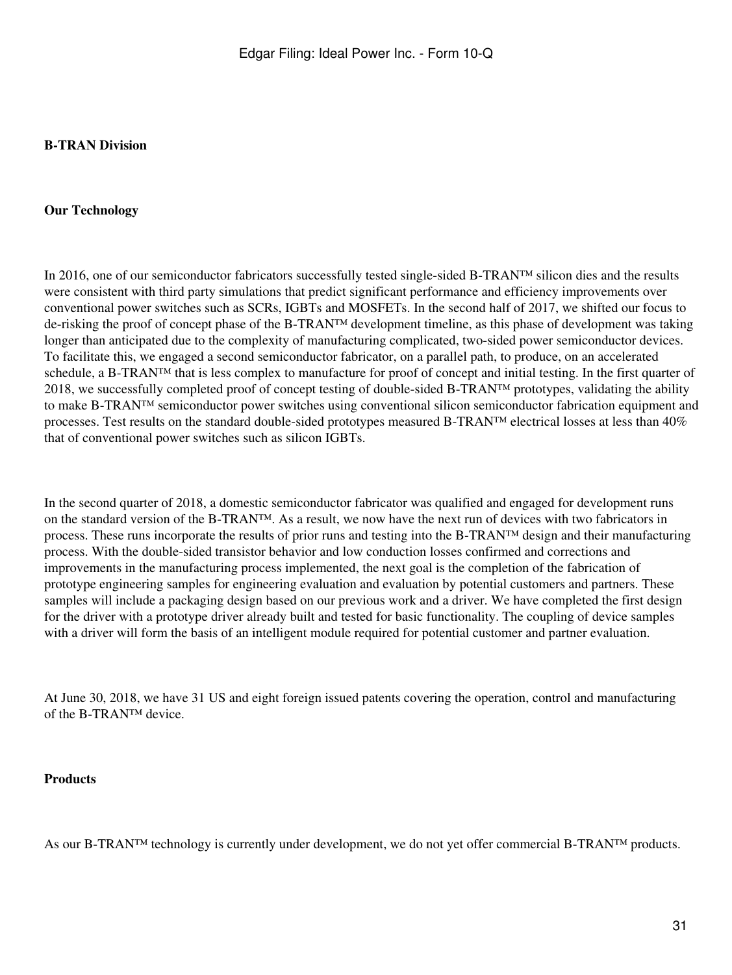#### **B-TRAN Division**

#### **Our Technology**

In 2016, one of our semiconductor fabricators successfully tested single-sided B-TRAN™ silicon dies and the results were consistent with third party simulations that predict significant performance and efficiency improvements over conventional power switches such as SCRs, IGBTs and MOSFETs. In the second half of 2017, we shifted our focus to de-risking the proof of concept phase of the B-TRAN™ development timeline, as this phase of development was taking longer than anticipated due to the complexity of manufacturing complicated, two-sided power semiconductor devices. To facilitate this, we engaged a second semiconductor fabricator, on a parallel path, to produce, on an accelerated schedule, a B-TRAN™ that is less complex to manufacture for proof of concept and initial testing. In the first quarter of 2018, we successfully completed proof of concept testing of double-sided B-TRAN<sup>™</sup> prototypes, validating the ability to make B-TRAN™ semiconductor power switches using conventional silicon semiconductor fabrication equipment and processes. Test results on the standard double-sided prototypes measured B-TRAN™ electrical losses at less than 40% that of conventional power switches such as silicon IGBTs.

In the second quarter of 2018, a domestic semiconductor fabricator was qualified and engaged for development runs on the standard version of the B-TRAN™. As a result, we now have the next run of devices with two fabricators in process. These runs incorporate the results of prior runs and testing into the B-TRAN™ design and their manufacturing process. With the double-sided transistor behavior and low conduction losses confirmed and corrections and improvements in the manufacturing process implemented, the next goal is the completion of the fabrication of prototype engineering samples for engineering evaluation and evaluation by potential customers and partners. These samples will include a packaging design based on our previous work and a driver. We have completed the first design for the driver with a prototype driver already built and tested for basic functionality. The coupling of device samples with a driver will form the basis of an intelligent module required for potential customer and partner evaluation.

At June 30, 2018, we have 31 US and eight foreign issued patents covering the operation, control and manufacturing of the B-TRAN™ device.

#### **Products**

As our B-TRAN™ technology is currently under development, we do not yet offer commercial B-TRAN™ products.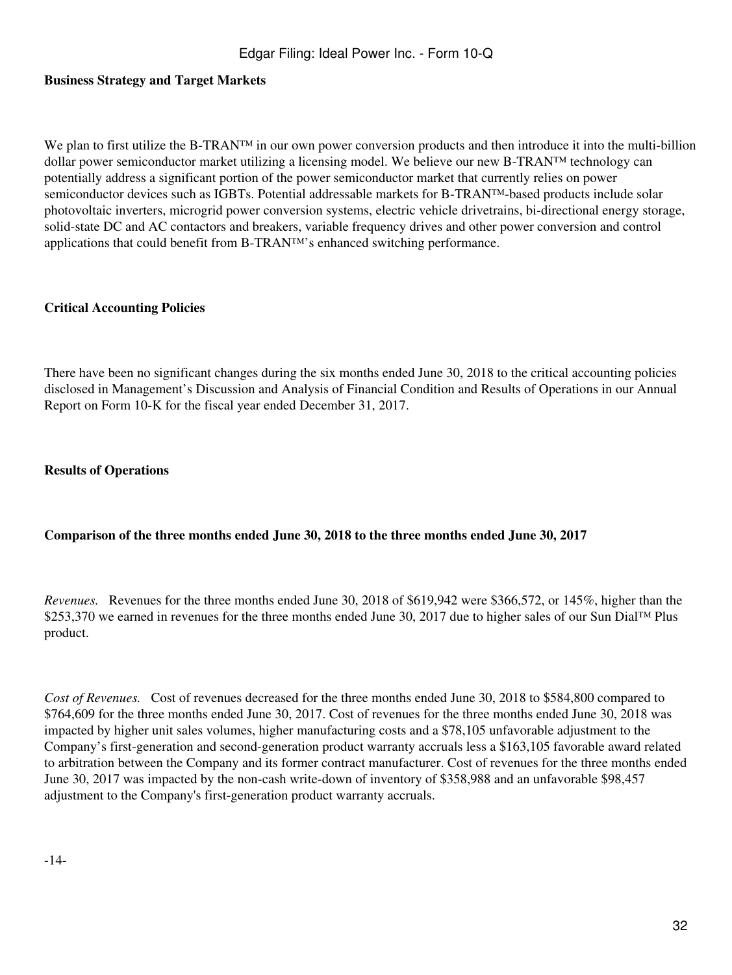## **Business Strategy and Target Markets**

We plan to first utilize the B-TRAN<sup>™</sup> in our own power conversion products and then introduce it into the multi-billion dollar power semiconductor market utilizing a licensing model. We believe our new B-TRAN™ technology can potentially address a significant portion of the power semiconductor market that currently relies on power semiconductor devices such as IGBTs. Potential addressable markets for B-TRAN™-based products include solar photovoltaic inverters, microgrid power conversion systems, electric vehicle drivetrains, bi-directional energy storage, solid-state DC and AC contactors and breakers, variable frequency drives and other power conversion and control applications that could benefit from B-TRAN™'s enhanced switching performance.

## **Critical Accounting Policies**

There have been no significant changes during the six months ended June 30, 2018 to the critical accounting policies disclosed in Management's Discussion and Analysis of Financial Condition and Results of Operations in our Annual Report on Form 10-K for the fiscal year ended December 31, 2017.

## **Results of Operations**

## **Comparison of the three months ended June 30, 2018 to the three months ended June 30, 2017**

*Revenues.* Revenues for the three months ended June 30, 2018 of \$619,942 were \$366,572, or 145%, higher than the \$253,370 we earned in revenues for the three months ended June 30, 2017 due to higher sales of our Sun Dial™ Plus product.

*Cost of Revenues.* Cost of revenues decreased for the three months ended June 30, 2018 to \$584,800 compared to \$764,609 for the three months ended June 30, 2017. Cost of revenues for the three months ended June 30, 2018 was impacted by higher unit sales volumes, higher manufacturing costs and a \$78,105 unfavorable adjustment to the Company's first-generation and second-generation product warranty accruals less a \$163,105 favorable award related to arbitration between the Company and its former contract manufacturer. Cost of revenues for the three months ended June 30, 2017 was impacted by the non-cash write-down of inventory of \$358,988 and an unfavorable \$98,457 adjustment to the Company's first-generation product warranty accruals.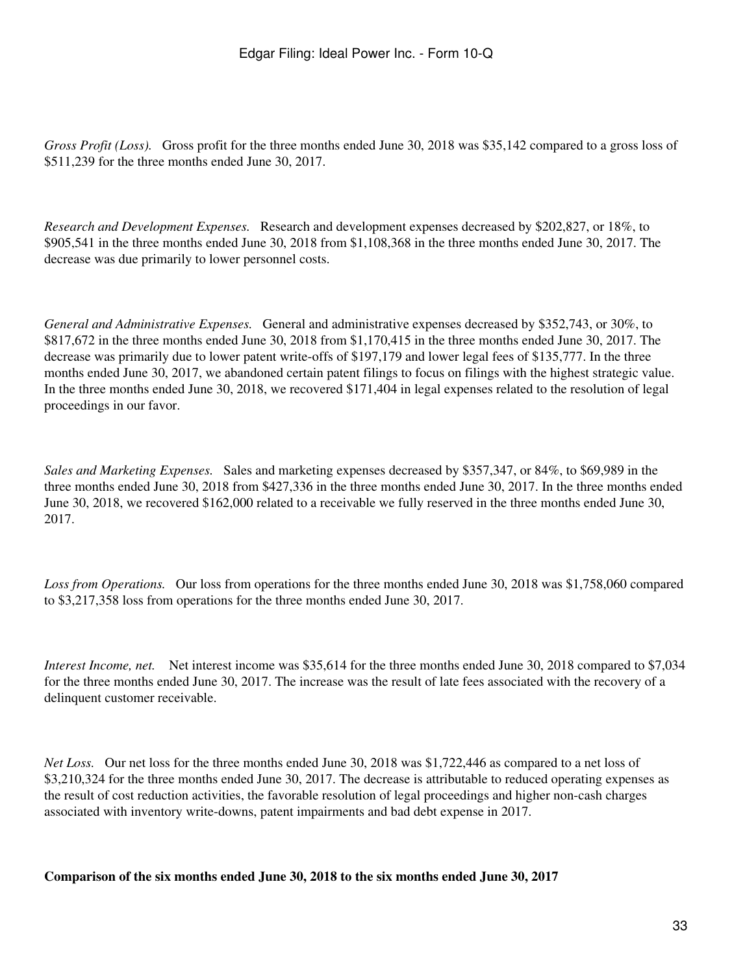*Gross Profit (Loss).* Gross profit for the three months ended June 30, 2018 was \$35,142 compared to a gross loss of \$511,239 for the three months ended June 30, 2017.

*Research and Development Expenses.* Research and development expenses decreased by \$202,827, or 18%, to \$905,541 in the three months ended June 30, 2018 from \$1,108,368 in the three months ended June 30, 2017. The decrease was due primarily to lower personnel costs.

*General and Administrative Expenses.* General and administrative expenses decreased by \$352,743, or 30%, to \$817,672 in the three months ended June 30, 2018 from \$1,170,415 in the three months ended June 30, 2017. The decrease was primarily due to lower patent write-offs of \$197,179 and lower legal fees of \$135,777. In the three months ended June 30, 2017, we abandoned certain patent filings to focus on filings with the highest strategic value. In the three months ended June 30, 2018, we recovered \$171,404 in legal expenses related to the resolution of legal proceedings in our favor.

*Sales and Marketing Expenses.* Sales and marketing expenses decreased by \$357,347, or 84%, to \$69,989 in the three months ended June 30, 2018 from \$427,336 in the three months ended June 30, 2017. In the three months ended June 30, 2018, we recovered \$162,000 related to a receivable we fully reserved in the three months ended June 30, 2017.

*Loss from Operations.* Our loss from operations for the three months ended June 30, 2018 was \$1,758,060 compared to \$3,217,358 loss from operations for the three months ended June 30, 2017.

*Interest Income, net.* Net interest income was \$35,614 for the three months ended June 30, 2018 compared to \$7,034 for the three months ended June 30, 2017. The increase was the result of late fees associated with the recovery of a delinquent customer receivable.

*Net Loss.* Our net loss for the three months ended June 30, 2018 was \$1,722,446 as compared to a net loss of \$3,210,324 for the three months ended June 30, 2017. The decrease is attributable to reduced operating expenses as the result of cost reduction activities, the favorable resolution of legal proceedings and higher non-cash charges associated with inventory write-downs, patent impairments and bad debt expense in 2017.

**Comparison of the six months ended June 30, 2018 to the six months ended June 30, 2017**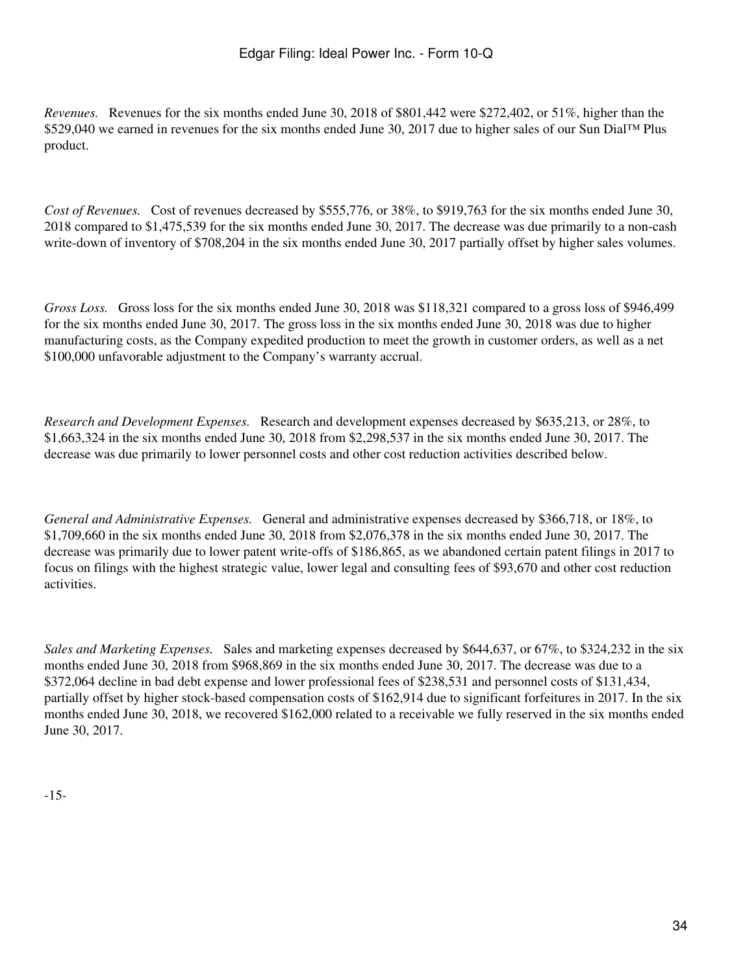*Revenues.* Revenues for the six months ended June 30, 2018 of \$801,442 were \$272,402, or 51%, higher than the \$529,040 we earned in revenues for the six months ended June 30, 2017 due to higher sales of our Sun Dial™ Plus product.

*Cost of Revenues.* Cost of revenues decreased by \$555,776, or 38%, to \$919,763 for the six months ended June 30, 2018 compared to \$1,475,539 for the six months ended June 30, 2017. The decrease was due primarily to a non-cash write-down of inventory of \$708,204 in the six months ended June 30, 2017 partially offset by higher sales volumes.

*Gross Loss.* Gross loss for the six months ended June 30, 2018 was \$118,321 compared to a gross loss of \$946,499 for the six months ended June 30, 2017. The gross loss in the six months ended June 30, 2018 was due to higher manufacturing costs, as the Company expedited production to meet the growth in customer orders, as well as a net \$100,000 unfavorable adjustment to the Company's warranty accrual.

*Research and Development Expenses.* Research and development expenses decreased by \$635,213, or 28%, to \$1,663,324 in the six months ended June 30, 2018 from \$2,298,537 in the six months ended June 30, 2017. The decrease was due primarily to lower personnel costs and other cost reduction activities described below.

*General and Administrative Expenses.* General and administrative expenses decreased by \$366,718, or 18%, to \$1,709,660 in the six months ended June 30, 2018 from \$2,076,378 in the six months ended June 30, 2017. The decrease was primarily due to lower patent write-offs of \$186,865, as we abandoned certain patent filings in 2017 to focus on filings with the highest strategic value, lower legal and consulting fees of \$93,670 and other cost reduction activities.

*Sales and Marketing Expenses.* Sales and marketing expenses decreased by \$644,637, or 67%, to \$324,232 in the six months ended June 30, 2018 from \$968,869 in the six months ended June 30, 2017. The decrease was due to a \$372,064 decline in bad debt expense and lower professional fees of \$238,531 and personnel costs of \$131,434, partially offset by higher stock-based compensation costs of \$162,914 due to significant forfeitures in 2017. In the six months ended June 30, 2018, we recovered \$162,000 related to a receivable we fully reserved in the six months ended June 30, 2017.

-15-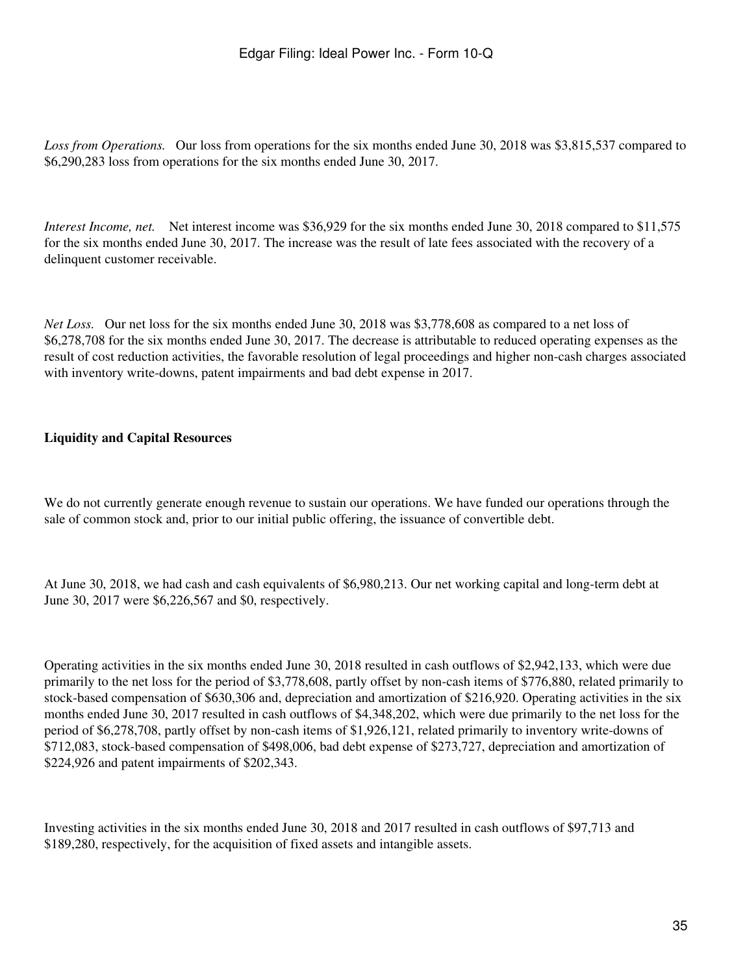*Loss from Operations.* Our loss from operations for the six months ended June 30, 2018 was \$3,815,537 compared to \$6,290,283 loss from operations for the six months ended June 30, 2017.

*Interest Income, net.* Net interest income was \$36,929 for the six months ended June 30, 2018 compared to \$11,575 for the six months ended June 30, 2017. The increase was the result of late fees associated with the recovery of a delinquent customer receivable.

*Net Loss.* Our net loss for the six months ended June 30, 2018 was \$3,778,608 as compared to a net loss of \$6,278,708 for the six months ended June 30, 2017. The decrease is attributable to reduced operating expenses as the result of cost reduction activities, the favorable resolution of legal proceedings and higher non-cash charges associated with inventory write-downs, patent impairments and bad debt expense in 2017.

## **Liquidity and Capital Resources**

We do not currently generate enough revenue to sustain our operations. We have funded our operations through the sale of common stock and, prior to our initial public offering, the issuance of convertible debt.

At June 30, 2018, we had cash and cash equivalents of \$6,980,213. Our net working capital and long-term debt at June 30, 2017 were \$6,226,567 and \$0, respectively.

Operating activities in the six months ended June 30, 2018 resulted in cash outflows of \$2,942,133, which were due primarily to the net loss for the period of \$3,778,608, partly offset by non-cash items of \$776,880, related primarily to stock-based compensation of \$630,306 and, depreciation and amortization of \$216,920. Operating activities in the six months ended June 30, 2017 resulted in cash outflows of \$4,348,202, which were due primarily to the net loss for the period of \$6,278,708, partly offset by non-cash items of \$1,926,121, related primarily to inventory write-downs of \$712,083, stock-based compensation of \$498,006, bad debt expense of \$273,727, depreciation and amortization of \$224,926 and patent impairments of \$202,343.

Investing activities in the six months ended June 30, 2018 and 2017 resulted in cash outflows of \$97,713 and \$189,280, respectively, for the acquisition of fixed assets and intangible assets.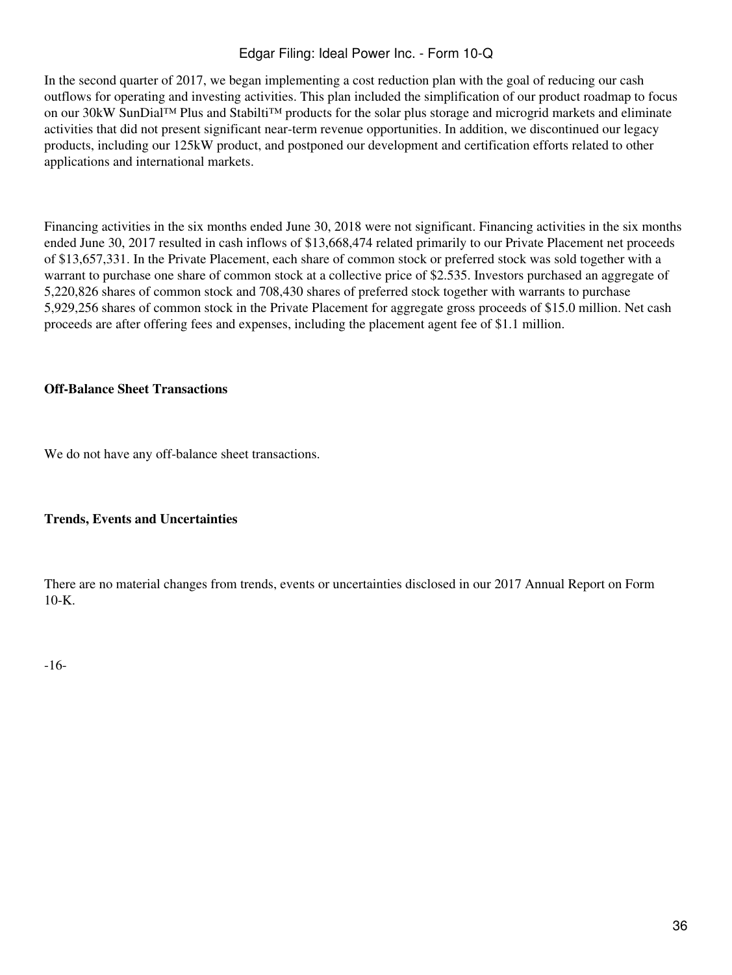In the second quarter of 2017, we began implementing a cost reduction plan with the goal of reducing our cash outflows for operating and investing activities. This plan included the simplification of our product roadmap to focus on our 30kW SunDial™ Plus and Stabilti™ products for the solar plus storage and microgrid markets and eliminate activities that did not present significant near-term revenue opportunities. In addition, we discontinued our legacy products, including our 125kW product, and postponed our development and certification efforts related to other applications and international markets.

Financing activities in the six months ended June 30, 2018 were not significant. Financing activities in the six months ended June 30, 2017 resulted in cash inflows of \$13,668,474 related primarily to our Private Placement net proceeds of \$13,657,331. In the Private Placement, each share of common stock or preferred stock was sold together with a warrant to purchase one share of common stock at a collective price of \$2.535. Investors purchased an aggregate of 5,220,826 shares of common stock and 708,430 shares of preferred stock together with warrants to purchase 5,929,256 shares of common stock in the Private Placement for aggregate gross proceeds of \$15.0 million. Net cash proceeds are after offering fees and expenses, including the placement agent fee of \$1.1 million.

#### **Off-Balance Sheet Transactions**

We do not have any off-balance sheet transactions.

#### **Trends, Events and Uncertainties**

There are no material changes from trends, events or uncertainties disclosed in our 2017 Annual Report on Form 10-K.

-16-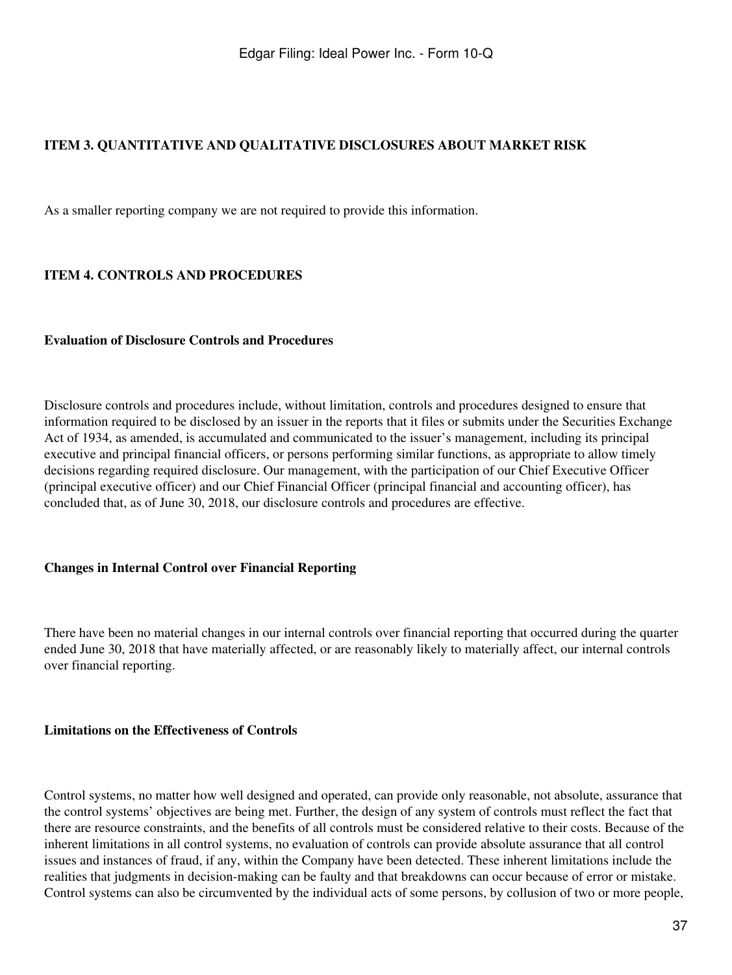## <span id="page-36-0"></span>**ITEM 3. QUANTITATIVE AND QUALITATIVE DISCLOSURES ABOUT MARKET RISK**

As a smaller reporting company we are not required to provide this information.

## <span id="page-36-1"></span>**ITEM 4. CONTROLS AND PROCEDURES**

#### **Evaluation of Disclosure Controls and Procedures**

Disclosure controls and procedures include, without limitation, controls and procedures designed to ensure that information required to be disclosed by an issuer in the reports that it files or submits under the Securities Exchange Act of 1934, as amended, is accumulated and communicated to the issuer's management, including its principal executive and principal financial officers, or persons performing similar functions, as appropriate to allow timely decisions regarding required disclosure. Our management, with the participation of our Chief Executive Officer (principal executive officer) and our Chief Financial Officer (principal financial and accounting officer), has concluded that, as of June 30, 2018, our disclosure controls and procedures are effective.

#### **Changes in Internal Control over Financial Reporting**

There have been no material changes in our internal controls over financial reporting that occurred during the quarter ended June 30, 2018 that have materially affected, or are reasonably likely to materially affect, our internal controls over financial reporting.

#### **Limitations on the Effectiveness of Controls**

Control systems, no matter how well designed and operated, can provide only reasonable, not absolute, assurance that the control systems' objectives are being met. Further, the design of any system of controls must reflect the fact that there are resource constraints, and the benefits of all controls must be considered relative to their costs. Because of the inherent limitations in all control systems, no evaluation of controls can provide absolute assurance that all control issues and instances of fraud, if any, within the Company have been detected. These inherent limitations include the realities that judgments in decision-making can be faulty and that breakdowns can occur because of error or mistake. Control systems can also be circumvented by the individual acts of some persons, by collusion of two or more people,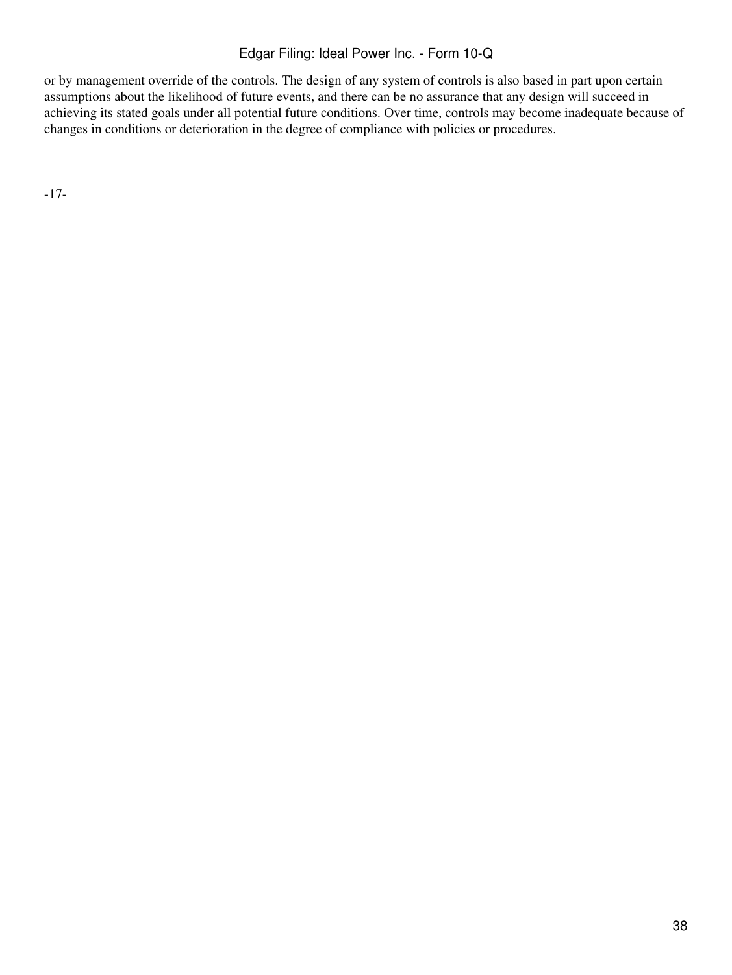or by management override of the controls. The design of any system of controls is also based in part upon certain assumptions about the likelihood of future events, and there can be no assurance that any design will succeed in achieving its stated goals under all potential future conditions. Over time, controls may become inadequate because of changes in conditions or deterioration in the degree of compliance with policies or procedures.

-17-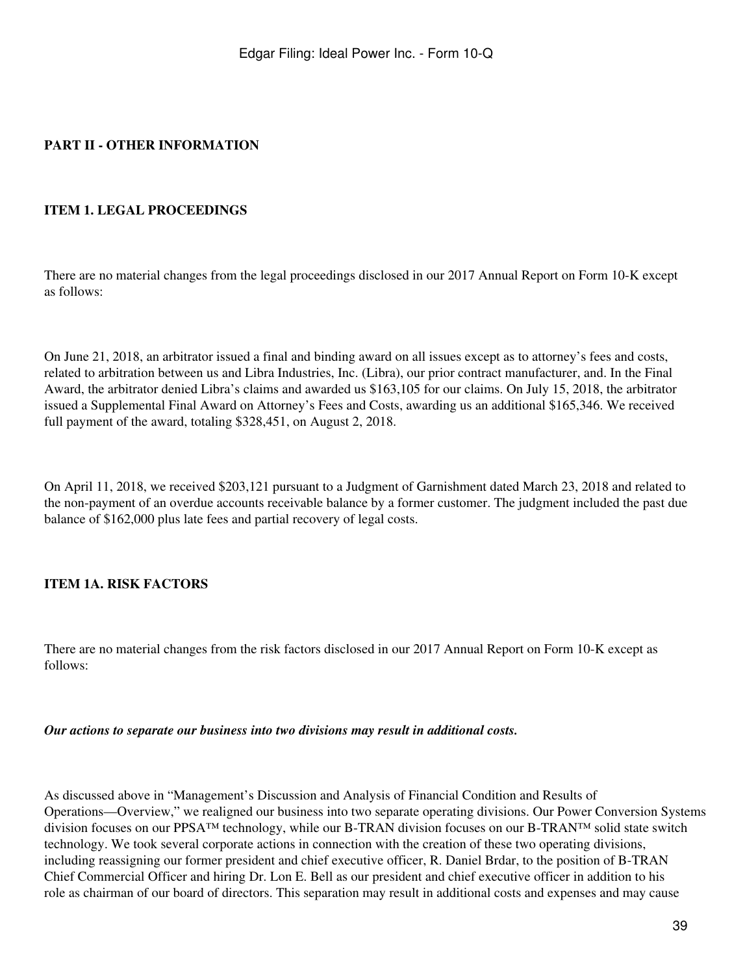## <span id="page-38-0"></span>**PART II - OTHER INFORMATION**

### <span id="page-38-1"></span>**ITEM 1. LEGAL PROCEEDINGS**

There are no material changes from the legal proceedings disclosed in our 2017 Annual Report on Form 10-K except as follows:

On June 21, 2018, an arbitrator issued a final and binding award on all issues except as to attorney's fees and costs, related to arbitration between us and Libra Industries, Inc. (Libra), our prior contract manufacturer, and. In the Final Award, the arbitrator denied Libra's claims and awarded us \$163,105 for our claims. On July 15, 2018, the arbitrator issued a Supplemental Final Award on Attorney's Fees and Costs, awarding us an additional \$165,346. We received full payment of the award, totaling \$328,451, on August 2, 2018.

On April 11, 2018, we received \$203,121 pursuant to a Judgment of Garnishment dated March 23, 2018 and related to the non-payment of an overdue accounts receivable balance by a former customer. The judgment included the past due balance of \$162,000 plus late fees and partial recovery of legal costs.

## <span id="page-38-2"></span>**ITEM 1A. RISK FACTORS**

There are no material changes from the risk factors disclosed in our 2017 Annual Report on Form 10-K except as follows:

*Our actions to separate our business into two divisions may result in additional costs.*

As discussed above in "Management's Discussion and Analysis of Financial Condition and Results of Operations—Overview," we realigned our business into two separate operating divisions. Our Power Conversion Systems division focuses on our PPSA™ technology, while our B-TRAN division focuses on our B-TRAN™ solid state switch technology. We took several corporate actions in connection with the creation of these two operating divisions, including reassigning our former president and chief executive officer, R. Daniel Brdar, to the position of B-TRAN Chief Commercial Officer and hiring Dr. Lon E. Bell as our president and chief executive officer in addition to his role as chairman of our board of directors. This separation may result in additional costs and expenses and may cause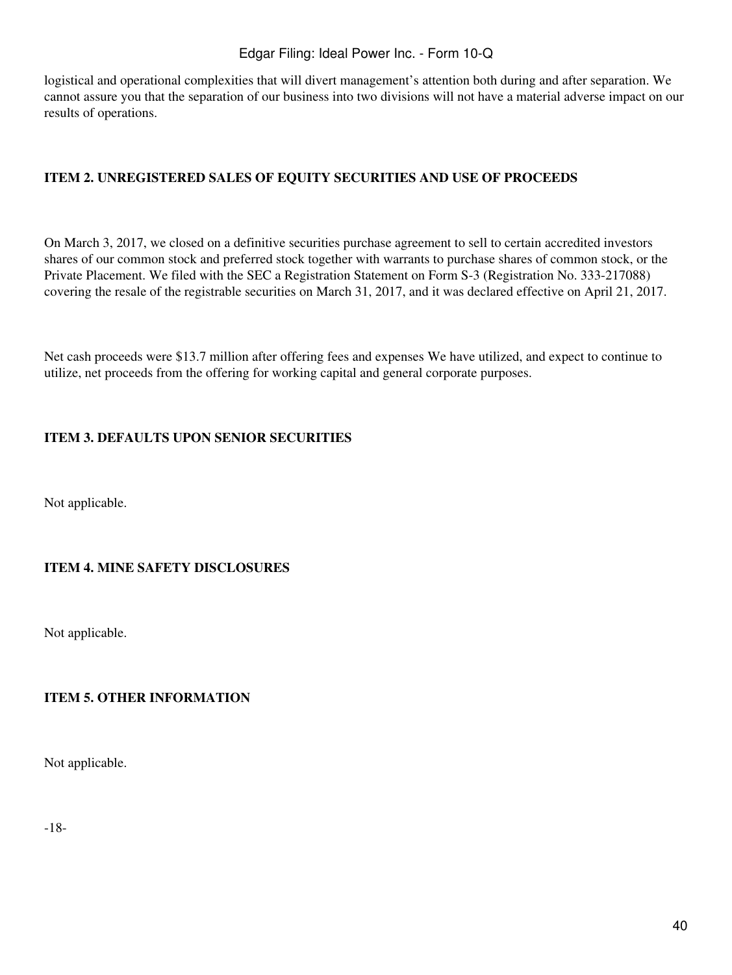logistical and operational complexities that will divert management's attention both during and after separation. We cannot assure you that the separation of our business into two divisions will not have a material adverse impact on our results of operations.

## <span id="page-39-0"></span>**ITEM 2. UNREGISTERED SALES OF EQUITY SECURITIES AND USE OF PROCEEDS**

On March 3, 2017, we closed on a definitive securities purchase agreement to sell to certain accredited investors shares of our common stock and preferred stock together with warrants to purchase shares of common stock, or the Private Placement. We filed with the SEC a Registration Statement on Form S-3 (Registration No. 333-217088) covering the resale of the registrable securities on March 31, 2017, and it was declared effective on April 21, 2017.

Net cash proceeds were \$13.7 million after offering fees and expenses We have utilized, and expect to continue to utilize, net proceeds from the offering for working capital and general corporate purposes.

## <span id="page-39-1"></span>**ITEM 3. DEFAULTS UPON SENIOR SECURITIES**

Not applicable.

## <span id="page-39-2"></span>**ITEM 4. MINE SAFETY DISCLOSURES**

Not applicable.

## <span id="page-39-3"></span>**ITEM 5. OTHER INFORMATION**

Not applicable.

-18-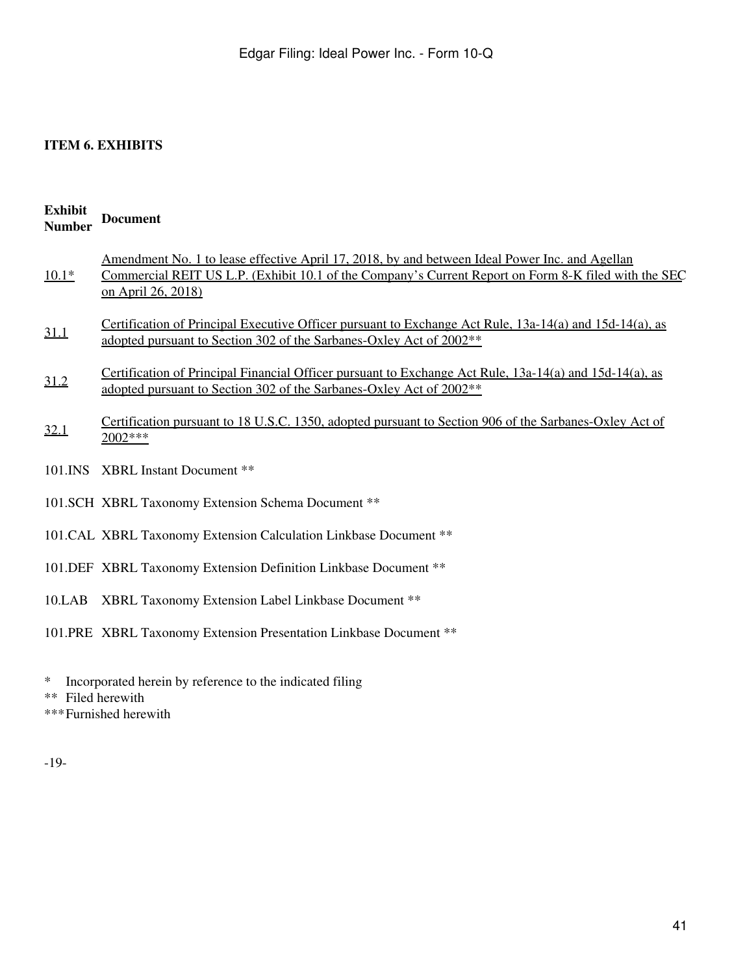## <span id="page-40-0"></span>**ITEM 6. EXHIBITS**

| <b>Exhibit</b><br><b>Number</b> | <b>Document</b>                                                                                                                                                                                                              |
|---------------------------------|------------------------------------------------------------------------------------------------------------------------------------------------------------------------------------------------------------------------------|
| $10.1*$                         | Amendment No. 1 to lease effective April 17, 2018, by and between Ideal Power Inc. and Agellan<br>Commercial REIT US L.P. (Exhibit 10.1 of the Company's Current Report on Form 8-K filed with the SEC<br>on April 26, 2018) |
| <u>31.1</u>                     | Certification of Principal Executive Officer pursuant to Exchange Act Rule, 13a-14(a) and 15d-14(a), as<br>adopted pursuant to Section 302 of the Sarbanes-Oxley Act of 2002 <sup>**</sup>                                   |
| 31.2                            | Certification of Principal Financial Officer pursuant to Exchange Act Rule, 13a-14(a) and 15d-14(a), as<br>adopted pursuant to Section 302 of the Sarbanes-Oxley Act of 2002 <sup>**</sup>                                   |
| 32.1                            | Certification pursuant to 18 U.S.C. 1350, adopted pursuant to Section 906 of the Sarbanes-Oxley Act of<br>2002***                                                                                                            |
|                                 | 101.INS XBRL Instant Document **                                                                                                                                                                                             |
|                                 | 101.SCH XBRL Taxonomy Extension Schema Document **                                                                                                                                                                           |
|                                 | 101.CAL XBRL Taxonomy Extension Calculation Linkbase Document **                                                                                                                                                             |
|                                 | 101.DEF XBRL Taxonomy Extension Definition Linkbase Document **                                                                                                                                                              |
|                                 | 10.LAB XBRL Taxonomy Extension Label Linkbase Document **                                                                                                                                                                    |
|                                 | 101.PRE XBRL Taxonomy Extension Presentation Linkbase Document **                                                                                                                                                            |
|                                 |                                                                                                                                                                                                                              |

\* Incorporated herein by reference to the indicated filing

\*\* Filed herewith

\*\*\*Furnished herewith

-19-